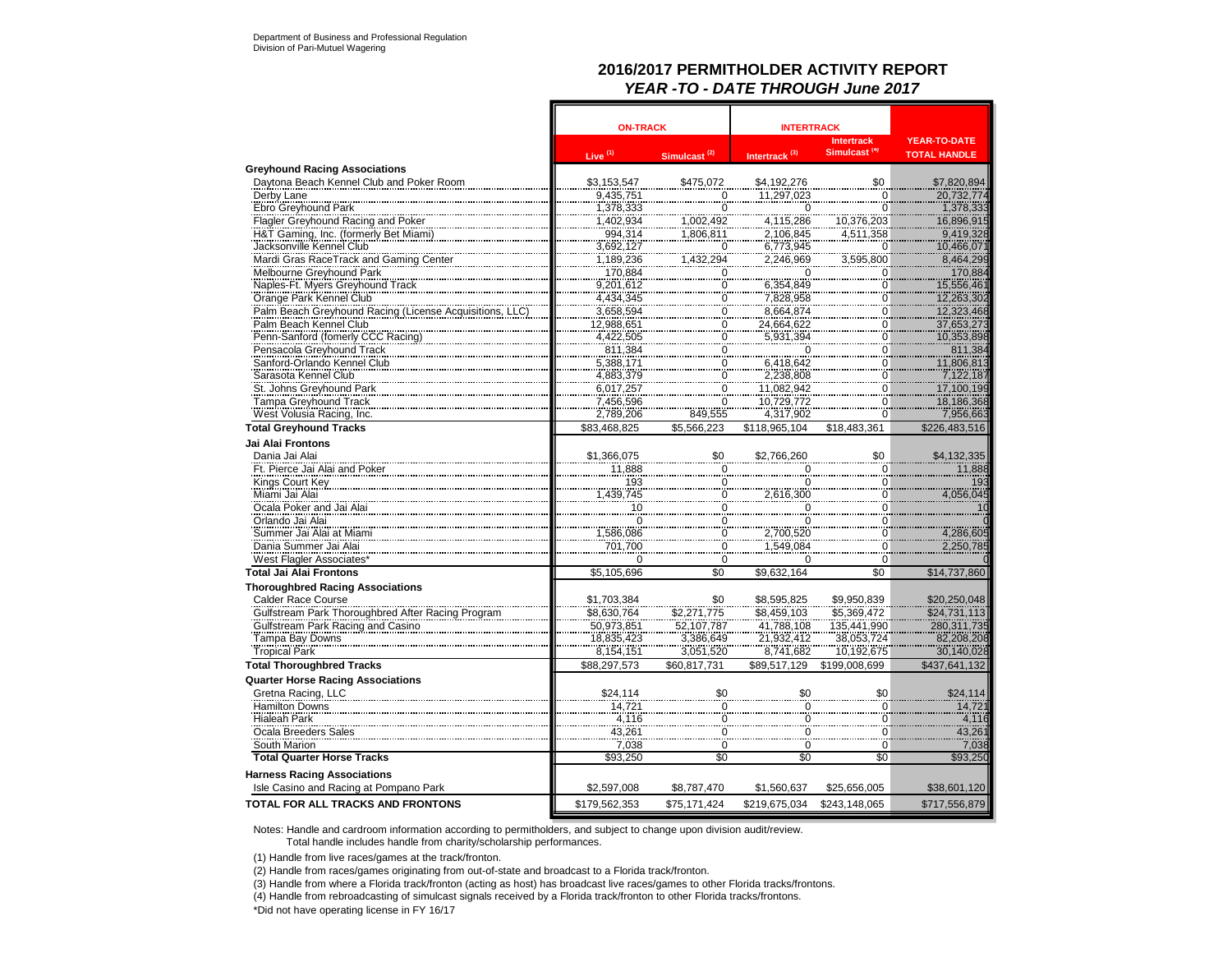## **2016/2017 PERMITHOLDER ACTIVITY REPORT** *YEAR -TO - DATE THROUGH June 2017*

|                                                          | <b>ON-TRACK</b>                   |                                                | <b>INTERTRACK</b>         |                                               |                                            |
|----------------------------------------------------------|-----------------------------------|------------------------------------------------|---------------------------|-----------------------------------------------|--------------------------------------------|
|                                                          | Live $(1)$                        | Simulcast <sup>(2)</sup>                       | Intertrack <sup>(3)</sup> | <b>Intertrack</b><br>Simulcast <sup>(4)</sup> | <b>YEAR-TO-DATE</b><br><b>TOTAL HANDLE</b> |
| <b>Greyhound Racing Associations</b>                     |                                   |                                                |                           |                                               |                                            |
| Daytona Beach Kennel Club and Poker Room                 | \$3,153,547                       | \$475,072                                      | \$4,192,276               | \$0                                           | \$7,820,894                                |
| Derby Lane                                               | $\frac{9,435,751}{1,378,333}$     | 0                                              | 11,297,023                |                                               | 20,732,774                                 |
| Ebro Greyhound Park                                      |                                   | 0                                              | $\mathbf 0$               | $\frac{0}{0}$                                 |                                            |
| Flagler Greyhound Racing and Poker                       |                                   | 1,002,492                                      | 4,115,286                 | 10,376,203                                    | 16,896,915                                 |
| H&T Gaming, Inc. (formerly Bet Miami)                    | 1,402,934<br>994,314              | 1,806,811                                      | 2,106,845                 | 4.511.358                                     | 9,419,328                                  |
| Jacksonville Kennel Club                                 | 3,692,127<br>1,189,236            | $\Omega$                                       | $6,773,945$<br>2,246,969  | $\overline{0}$                                | 10,466,07                                  |
| Mardi Gras RaceTrack and Gaming Center                   |                                   | 1,432,294                                      |                           | 3,595,800                                     | 8,464,299                                  |
| Melbourne Greyhound Park                                 | 170,884                           | 0                                              | 0                         | $\overline{0}$                                | 170,884                                    |
| Naples-Ft. Myers Greyhound Track                         | 9,201,612                         | 0                                              | 6,354,849                 | 0                                             | 15,556,461                                 |
| Orange Park Kennel Club                                  | 4,434,345                         | $\overline{0}$                                 | 7,828,958                 | $\overline{0}$                                | 12,263,302                                 |
| Palm Beach Greyhound Racing (License Acquisitions, LLC   | 3,658,594                         | 0                                              | 8,664,874                 | 0                                             | 12,323,468                                 |
| Palm Beach Kennel Club                                   | 12,988,651                        | <br>$\Omega$                                   | 24,664,622                | $\overline{0}$                                |                                            |
|                                                          |                                   | $\frac{6}{0}$                                  | 5,931,394                 | $\frac{6}{0}$                                 | 37,653,273<br>10,353,898                   |
| Penn-Sanford (fomerly CCC Racing)                        | 4,422,505<br>811,384<br>5,388,171 | ,,,,,                                          |                           |                                               |                                            |
| Pensacola Greyhound Track<br>Sanford-Orlando Kennel Club |                                   | 0<br>$\frac{8}{0}$                             | 0                         | 0                                             | 811,384                                    |
|                                                          |                                   |                                                | $6,418,642$<br>2,238,808  | 0                                             | 11,806,813                                 |
| Sarasota Kennel Club                                     | 4,883,379                         | 0                                              |                           | 0                                             | 7,122,187                                  |
| St. Johns Greyhound Park                                 | $6,017,257$<br>7,456,596          | $\overline{0}$                                 | 11,082,942<br>10,729,772  | $\overline{0}$                                | 17,100,199                                 |
| Tampa Greyhound Track                                    |                                   | 0                                              |                           | $\overline{0}$                                | 18,186,368                                 |
| West Volusia Racing, Inc.                                | 2,789,206                         | 849,555                                        | 4,317,902                 | 0                                             | 7,956,663                                  |
| <b>Total Greyhound Tracks</b>                            | \$83,468,825                      | \$5,566,223                                    | \$118,965,104             | \$18,483,361                                  | \$226,483,516                              |
| Jai Alai Frontons                                        |                                   |                                                |                           |                                               |                                            |
| Dania Jai Alai                                           | \$1,366,075                       |                                                | \$2.766.260               | $\$0$                                         | \$4,132,335                                |
| Ft. Pierce Jai Alai and Poker                            | 11,888                            | $\overset{\text{g}_0}{\phantom{\text{g}_0}}_0$ | $\overline{0}$            | $\overline{0}$                                | 11,888                                     |
| Kings Court Key                                          |                                   | .<br>$\Omega$                                  | $\check{\circ}$           |                                               | 193                                        |
| Miami Jai Alai                                           | 193<br>439,745,                   | $\overline{0}$                                 | 2,616,300                 | $\frac{0}{0}$                                 | 4,056,045                                  |
|                                                          |                                   |                                                |                           |                                               |                                            |
| Ocala Poker and Jai Alai                                 | 10                                | 0<br>$\overline{0}$                            | 0                         | 0<br>$\overline{0}$                           | 10                                         |
| Orlando Jai Alai                                         | $\frac{1}{0}$                     |                                                | $\frac{0}{0}$             |                                               |                                            |
| Summer Jai Alai at Miami                                 | ,586,086                          | $\overline{0}$                                 | 2,700,520                 | 0                                             | 4,286,605                                  |
| Dania Summer Jai Alai                                    | 701,700                           | 0                                              | 1,549,084                 | 0                                             | 2,250,785                                  |
| West Flagler Associates'                                 | $\Omega$                          | $\Omega$                                       | $\Omega$                  | $\Omega$                                      |                                            |
| Total Jai Alai Frontons                                  | \$5,105,696                       | \$0                                            | \$9,632,164               | \$0                                           | \$14,737,860                               |
| <b>Thoroughbred Racing Associations</b>                  |                                   |                                                |                           |                                               |                                            |
| Calder Race Course                                       | \$1,703,384                       |                                                | \$8,595,825               | \$9,950,839                                   | \$20,250,048                               |
| Gulfstream Park Thoroughbred After Racing Program        | \$8,630,764                       | \$0<br>\$2,271,775<br>52,107,787               | \$8,459,103               | \$5,369,472                                   | \$24,731,113                               |
| Gulfstream Park Racing and Casino                        | 50,973,851                        |                                                |                           | 135,441,990                                   | 280, 311, 735                              |
| Tampa Bay Downs                                          | 18.835.423                        | 3,386,649                                      | 41,788,108<br>21,932,412  | $\frac{127}{38,053,724}$                      | 82.208.208                                 |
| <b>Tropical Park</b>                                     | 8,154,151                         | 3,051,520                                      | 8,741,682                 | 10,192,675                                    | 30,140,028                                 |
| <b>Total Thoroughbred Tracks</b>                         | \$88,297,573                      | \$60,817,731                                   | \$89,517,129              | \$199,008,699                                 | \$437,641,132                              |
|                                                          |                                   |                                                |                           |                                               |                                            |
| <b>Quarter Horse Racing Associations</b>                 |                                   |                                                |                           |                                               |                                            |
| Gretna Racing, LLC                                       | \$24,114                          | $\begin{matrix} 1 & 0 \\ 0 & 0 \end{matrix}$   | $\frac{$0}{}$             | \$0                                           | \$24,114                                   |
| <b>Hamilton Downs</b>                                    | 14,721                            |                                                |                           | Ö                                             | 14,721                                     |
| <b>Hialeah Park</b>                                      | 4,116                             | $\Omega$                                       | $\overline{0}$            | $\Omega$                                      | $\frac{4,116}{43,261}$                     |
| Ocala Breeders Sales                                     | 43,261                            | $\overline{0}$                                 | $\frac{0}{2}$             | Ö                                             |                                            |
| South Marion                                             | 7,038                             | 0                                              | 0                         | 0                                             | 7,038                                      |
| <b>Total Quarter Horse Tracks</b>                        | \$93,250                          | \$0                                            | \$0                       | \$0                                           | \$93,250                                   |
| <b>Harness Racing Associations</b>                       |                                   |                                                |                           |                                               |                                            |
| Isle Casino and Racing at Pompano Park                   | \$2,597,008                       | \$8.787.470                                    | \$1.560.637               | \$25.656.005                                  | \$38,601,120                               |
|                                                          |                                   |                                                |                           |                                               |                                            |
| TOTAL FOR ALL TRACKS AND FRONTONS                        | \$179,562,353                     | \$75,171,424                                   | \$219,675,034             | \$243,148,065                                 | \$717.556.879                              |

Notes: Handle and cardroom information according to permitholders, and subject to change upon division audit/review.

Total handle includes handle from charity/scholarship performances.

(1) Handle from live races/games at the track/fronton.

(2) Handle from races/games originating from out-of-state and broadcast to a Florida track/fronton.

(3) Handle from where a Florida track/fronton (acting as host) has broadcast live races/games to other Florida tracks/frontons.

(4) Handle from rebroadcasting of simulcast signals received by a Florida track/fronton to other Florida tracks/frontons.

\*Did not have operating license in FY 16/17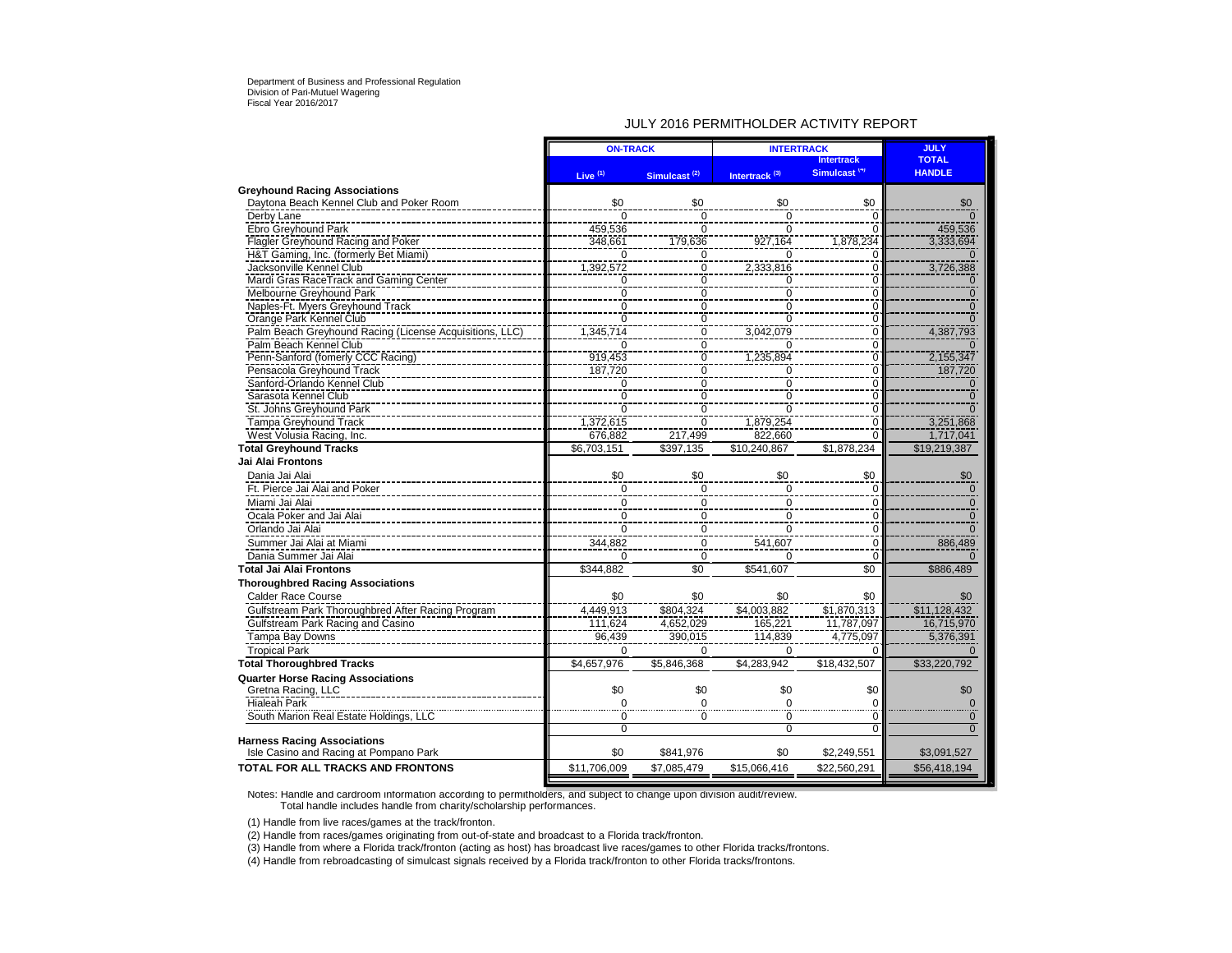### JULY 2016 PERMITHOLDER ACTIVITY REPORT

|                                                         | <b>ON-TRACK</b> |                          | <b>INTERTRACK</b>         | <b>JULY</b>              |                |
|---------------------------------------------------------|-----------------|--------------------------|---------------------------|--------------------------|----------------|
|                                                         |                 |                          |                           | <b>Intertrack</b>        | <b>TOTAL</b>   |
|                                                         | Live $(1)$      | Simulcast <sup>(2)</sup> | Intertrack <sup>(3)</sup> | Simulcast <sup>(4)</sup> | <b>HANDLE</b>  |
| <b>Greyhound Racing Associations</b>                    |                 |                          |                           |                          |                |
| Davtona Beach Kennel Club and Poker Room                | \$0             | \$0                      | \$0                       | \$0                      | \$0            |
| Derby Lane                                              | $\Omega$        | $\Omega$                 | $\Omega$                  | $\mathbf 0$              | $\Omega$       |
| Ebro Greyhound Park                                     | 459.536         | $\mathbf 0$              | $\Omega$                  | $\mathbf 0$              | 459,536        |
| Flagler Greyhound Racing and Poker                      | 348,661         | 179,636                  | 927,164                   | 1,878,234                | 3,333,694      |
| H&T Gaming, Inc. (formerly Bet Miami)                   | $\Omega$        | $\frac{0}{0}$            | $\Omega$                  | $\mathbf 0$              |                |
| Jacksonville Kennel Club                                | 1,392,572       |                          | 2,333,816                 | $\overline{0}$           | 3,726,388      |
| Mardi Gras RaceTrack and Gaming Center                  | $\overline{0}$  | $\frac{0}{0}$            | Ō                         | $\overline{0}$           | $\bf{0}$       |
| Melbourne Greyhound Park                                | $\overline{0}$  |                          | $\Omega$                  | $\overline{0}$           | $\overline{0}$ |
| Naples-Ft. Myers Greyhound Track                        | $\mathbf 0$     | $\frac{8}{0}$            | $\Omega$                  | $\mathbf 0$              | $\mathbf{0}$   |
| Orange Park Kennel Club                                 | Ō               | $\frac{8}{0}$            | $\Omega$                  | $\overline{0}$           | $\overline{0}$ |
| Palm Beach Greyhound Racing (License Acquisitions, LLC) | 1,345,714       | $\frac{8}{0}$            | 3,042,079                 | $\overline{0}$           | 4,387,793      |
| Palm Beach Kennel Club                                  | 0               | 0                        | $\Omega$                  | 0                        | $\Omega$       |
| Penn-Sanford (fomerly CCC Racing)                       | 919,453         | $\overline{0}$           | 1,235,894                 | $\mathbf 0$              | 2,155,347      |
| Pensacola Greyhound Track                               | 187,720         | $\overline{0}$           | $\Omega$                  | Ō                        | 187,720        |
| Sanford-Orlando Kennel Club                             | $\overline{0}$  | $\mathsf 0$              | $\Omega$                  | $\mathbf 0$              | $\mathbf 0$    |
| Sarasota Kennel Club                                    | $\mathbf 0$     | $\mathbf 0$              | $\Omega$                  | $\mathbf 0$              | $\Omega$       |
| St. Johns Greyhound Park                                | $\Omega$        | $\pmb{0}$                | $\Omega$                  | $\mathbf 0$              | $\Omega$       |
| <b>Tampa Greyhound Track</b>                            | 1,372,615       | $\overline{0}$           | 1,879,254                 | $\overline{0}$           | 3,251,868      |
| West Volusia Racing, Inc.                               | 676.882         | 217.499                  | 822.660                   | $\Omega$                 | 1,717,041      |
| <b>Total Greyhound Tracks</b>                           | \$6,703,151     | \$397,135                | \$10,240,867              | \$1,878,234              | \$19,219,387   |
| Jai Alai Frontons                                       |                 |                          |                           |                          |                |
| Dania Jai Alai                                          | \$0             | \$0                      | \$0                       | \$0                      | \$0            |
|                                                         |                 |                          |                           |                          |                |
| Ft. Pierce Jai Alai and Poker                           | $\mathbf 0$     | $\mathbf 0$              | $\mathbf 0$               | 0                        | $\mathbf{0}$   |
| Miami Jai Alai                                          | $\mathbf 0$     | 0                        | $\mathbf 0$               | $\Omega$                 |                |
| Ocala Poker and Jai Alai                                | $\overline{0}$  | $\overline{0}$           | $\mathbf 0$               | $\Omega$                 |                |
| Orlando Jai Alai                                        | $\mathbf 0$     | 0                        | $\Omega$                  | 0                        | $\Omega$       |
| Summer Jai Alai at Miami                                | 344,882         | 0                        | 541,607                   | $\mathbf 0$              | 886,489        |
| Dania Summer Jai Alai                                   | $\Omega$        | $\Omega$                 | $\Omega$                  | $\Omega$                 | $\Omega$       |
| <b>Total Jai Alai Frontons</b>                          | \$344,882       | \$0                      | \$541,607                 | \$0                      | \$886,489      |
| <b>Thoroughbred Racing Associations</b>                 |                 |                          |                           |                          |                |
| <b>Calder Race Course</b>                               | \$0             | \$0                      | \$0                       | \$0                      | \$0            |
| Gulfstream Park Thoroughbred After Racing Program       | 4,449,913       | \$804.324                | \$4,003,882               | \$1,870,313              | \$11,128,432   |
| Gulfstream Park Racing and Casino                       | 111,624         | 4,652,029                | 165,221                   | 11,787,097               | 16,715,970     |
| Tampa Bay Downs                                         | 96,439          | 390,015                  | 114,839                   | 4,775,097                | 5,376,391      |
|                                                         |                 |                          |                           |                          |                |
| <b>Tropical Park</b>                                    | $\Omega$        | $\Omega$                 | $\Omega$                  | $\Omega$                 | $\Omega$       |
| <b>Total Thoroughbred Tracks</b>                        | \$4,657,976     | \$5.846.368              | \$4.283.942               | \$18.432.507             | \$33,220,792   |
| <b>Quarter Horse Racing Associations</b>                |                 |                          |                           |                          |                |
| Gretna Racing, LLC                                      | \$0             | \$0                      | \$0                       | \$0                      | \$0            |
| <b>Hialeah Park</b>                                     | $\Omega$        | $\Omega$                 | $\Omega$                  | $\Omega$                 | $\mathbf 0$    |
| South Marion Real Estate Holdings, LLC                  | 0               | 0                        | $\Omega$                  | $\Omega$                 | $\mathbf 0$    |
|                                                         | $\mathbf 0$     |                          | $\Omega$                  | $\Omega$                 | $\Omega$       |
| <b>Harness Racing Associations</b>                      |                 |                          |                           |                          |                |
| Isle Casino and Racing at Pompano Park                  | \$0             | \$841,976                | \$0                       | \$2,249,551              | \$3,091,527    |
| TOTAL FOR ALL TRACKS AND FRONTONS                       | \$11,706,009    | \$7,085,479              | \$15,066,416              | \$22,560,291             | \$56,418,194   |
|                                                         |                 |                          |                           |                          |                |

Notes: Handle and cardroom information according to permitholders, and subject to change upon division audit/review. Total handle includes handle from charity/scholarship performances.

(1) Handle from live races/games at the track/fronton.

(2) Handle from races/games originating from out-of-state and broadcast to a Florida track/fronton.

(3) Handle from where a Florida track/fronton (acting as host) has broadcast live races/games to other Florida tracks/frontons.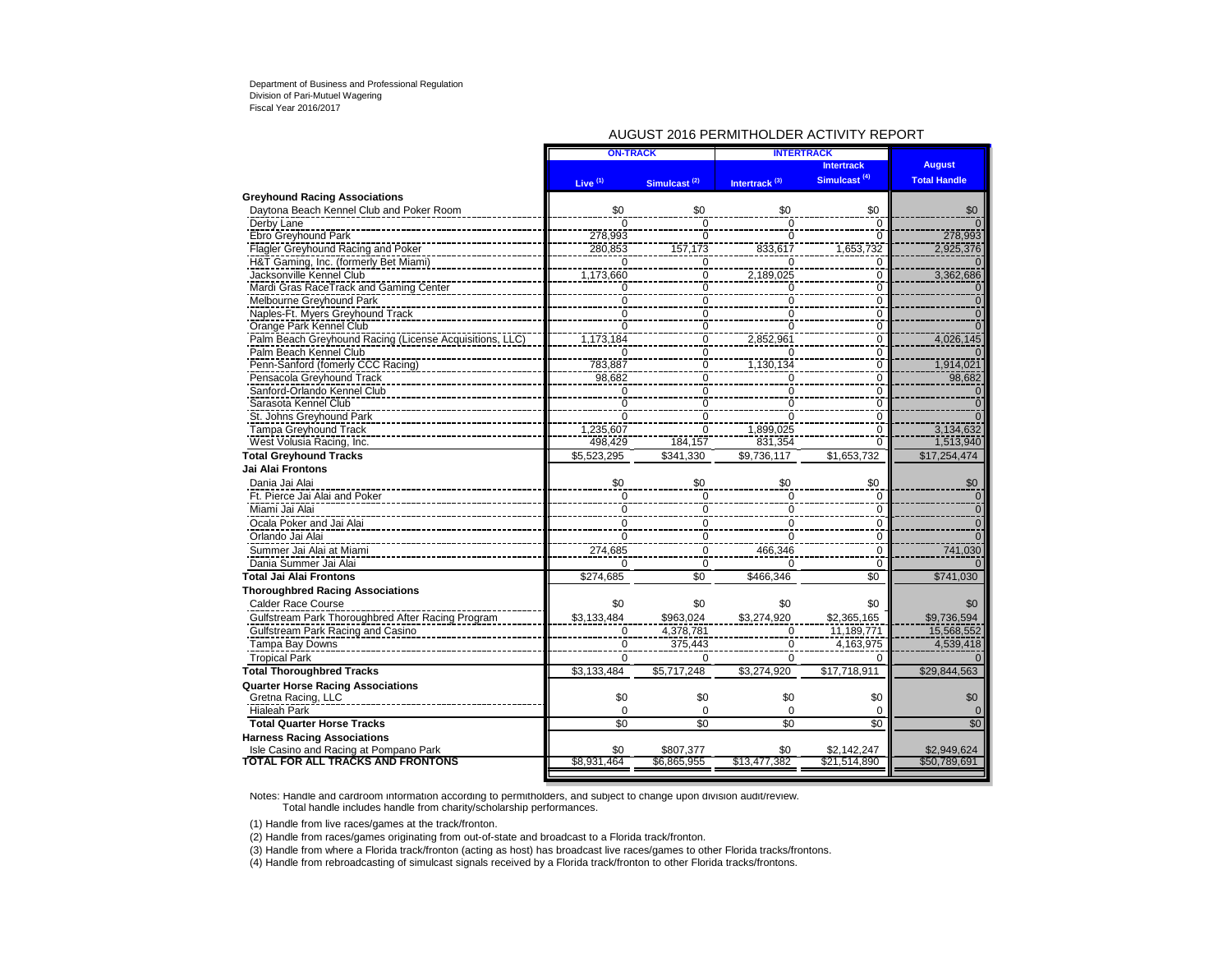### AUGUST 2016 PERMITHOLDER ACTIVITY REPORT

|                                                         | <b>ON-TRACK</b>     |                          | <b>INTERTRACK</b>         |                          |                     |
|---------------------------------------------------------|---------------------|--------------------------|---------------------------|--------------------------|---------------------|
|                                                         |                     |                          |                           | <b>Intertrack</b>        | <b>August</b>       |
|                                                         | Live <sup>(1)</sup> | Simulcast <sup>(2)</sup> | Intertrack <sup>(3)</sup> | Simulcast <sup>(4)</sup> | <b>Total Handle</b> |
| <b>Greyhound Racing Associations</b>                    |                     |                          |                           |                          |                     |
| Daytona Beach Kennel Club and Poker Room                | \$0                 | \$0                      | \$0                       | \$0                      | \$0                 |
| Derby Lane                                              | $\Omega$            | $\Omega$                 | $\Omega$                  | 0                        |                     |
| Ebro Greyhound Park                                     | 278,993             | $\overline{0}$           | $\overline{0}$            | O                        | 278,993             |
| Flagler Greyhound Racing and Poker                      | 280,853             | 157,173                  | 833,617                   | 1,653,732                | 2,925,376           |
| H&T Gaming, Inc. (formerly Bet Miami)                   | $\overline{0}$      | 0                        | $\Omega$                  | O                        |                     |
| Jacksonville Kennel Club                                | 1,173,660           | $\mathbf 0$              | 2,189,025                 | $\Omega$                 | 3,362,686           |
| Mardi Gras RaceTrack and Gaming Center                  | $\mathbf 0$         | $\overline{0}$           | $\overline{0}$            | 0                        | $\Omega$            |
| Melbourne Greyhound Park                                | $\overline{0}$      | $\ddot{\delta}$          | $\mathbf 0$               | 0                        | $\Omega$            |
| Naples-Ft. Myers Greyhound Track                        | 0                   | $\pmb{0}$                | $\mathbf 0$               | 0                        | $\mathbf 0$         |
| Orange Park Kennel Club                                 | $\Omega$            | $\mathbf 0$              | $\mathbf 0$               | $\Omega$                 |                     |
| Palm Beach Greyhound Racing (License Acquisitions, LLC) | 1,173,184           | $\mathbf 0$              | 2,852,961                 | $\Omega$                 | 4,026,145           |
| Palm Beach Kennel Club                                  | $\overline{0}$      | $\overline{0}$           | $\Omega$                  | $\Omega$                 |                     |
| Penn-Sanford (fomerly CCC Racing)                       | 783,887             | $\overline{0}$           | 1,130,134                 | 0                        | 1,914,021           |
| Pensacola Greyhound Track                               | 98,682              | $\overline{0}$           | $\Omega$                  | $\Omega$                 | 98,682              |
| Sanford-Orlando Kennel Club                             | Ō                   | $\overline{0}$           | $\Omega$                  | 0                        | $\Omega$            |
| Sarasota Kennel Club                                    | 0                   | 0                        | $\Omega$                  | 0                        | 0                   |
| St. Johns Greyhound Park                                | $\mathbf 0$         | $\ddot{\delta}$          | $\mathbf 0$               | 0                        | $\overline{0}$      |
| Tampa Greyhound Track                                   | 1,235,607           | $\overline{0}$           | 1.899.025                 | $\Omega$                 | 3,134,632           |
| West Volusia Racing, Inc.                               | 498,429             | 184,157                  | 831,354                   | $\Omega$                 | 1,513,940           |
| <b>Total Greyhound Tracks</b>                           | \$5,523,295         | \$341.330                | \$9,736,117               | \$1,653,732              | \$17.254.474        |
| <b>Jai Alai Frontons</b>                                |                     |                          |                           |                          |                     |
| Dania Jai Alai                                          | \$0                 | \$0                      | \$0                       | \$0                      | \$0                 |
| Ft. Pierce Jai Alai and Poker                           | $\mathbf 0$         | $\mathbf 0$              | $\mathbf 0$               | $\Omega$                 | $\Omega$            |
| Miami Jai Alai                                          | $\Omega$            | $\mathbf 0$              | $\mathbf 0$               | $\Omega$                 | $\mathbf{0}$        |
| Ocala Poker and Jai Alai                                | $\frac{8}{0}$       | $\pmb{0}$                | $\mathbf 0$               | $\Omega$                 | $\overline{0}$      |
| Orlando Jai Alai                                        | $\mathbf 0$         | $\mathbf 0$              | $\mathbf 0$               | $\Omega$                 | $\Omega$            |
| Summer Jai Alai at Miami                                | 274,685             | $\Omega$                 | 466,346                   | $\Omega$                 | 741,030             |
| Dania Summer Jai Alai                                   | $\Omega$            | 0                        | $\Omega$                  | $\Omega$                 |                     |
| Total Jai Alai Frontons                                 | \$274,685           | \$0                      | \$466.346                 | \$0                      | \$741,030           |
| <b>Thoroughbred Racing Associations</b>                 |                     |                          |                           |                          |                     |
| <b>Calder Race Course</b>                               | \$0                 | \$0                      | \$0                       | \$0                      | \$0                 |
| Gulfstream Park Thoroughbred After Racing Program       | \$3,133,484         | \$963,024                | \$3,274,920               | \$2,365,165              | \$9,736,594         |
| Gulfstream Park Racing and Casino                       | $\overline{0}$      | 4,378,781                | 0                         | 11,189,771               | 15,568,552          |
| Tampa Bay Downs                                         | $\Omega$            | 375,443                  | $\Omega$                  | 4,163,975                | 4,539,418           |
| <b>Tropical Park</b>                                    | $\Omega$            | $\Omega$                 | $\Omega$                  | $\Omega$                 |                     |
| <b>Total Thoroughbred Tracks</b>                        | \$3.133.484         | \$5.717.248              | \$3.274.920               | \$17,718,911             | \$29,844,563        |
| <b>Quarter Horse Racing Associations</b>                |                     |                          |                           |                          |                     |
| Gretna Racing, LLC                                      | \$0                 | \$0                      | \$0                       | \$0                      | \$0                 |
| <b>Hialeah Park</b>                                     | $\Omega$            | $\Omega$                 | $\Omega$                  | $\Omega$                 |                     |
| <b>Total Quarter Horse Tracks</b>                       | \$0                 | \$0                      | \$0                       | \$0                      | \$0                 |
| <b>Harness Racing Associations</b>                      |                     |                          |                           |                          |                     |
| Isle Casino and Racing at Pompano Park                  | \$0                 | \$807.377                | \$0                       | \$2.142.247              | \$2,949,624         |
| <b>TOTAL FOR ALL TRACKS AND FRONTONS</b>                | \$8,931,464         | \$6,865,955              | \$13,477,382              | \$21,514,890             | \$50,789,691        |
|                                                         |                     |                          |                           |                          |                     |

Notes: Handle and cardroom information according to permitholders, and subject to change upon division audit/review. Total handle includes handle from charity/scholarship performances.

(1) Handle from live races/games at the track/fronton.

(2) Handle from races/games originating from out-of-state and broadcast to a Florida track/fronton.

(3) Handle from where a Florida track/fronton (acting as host) has broadcast live races/games to other Florida tracks/frontons.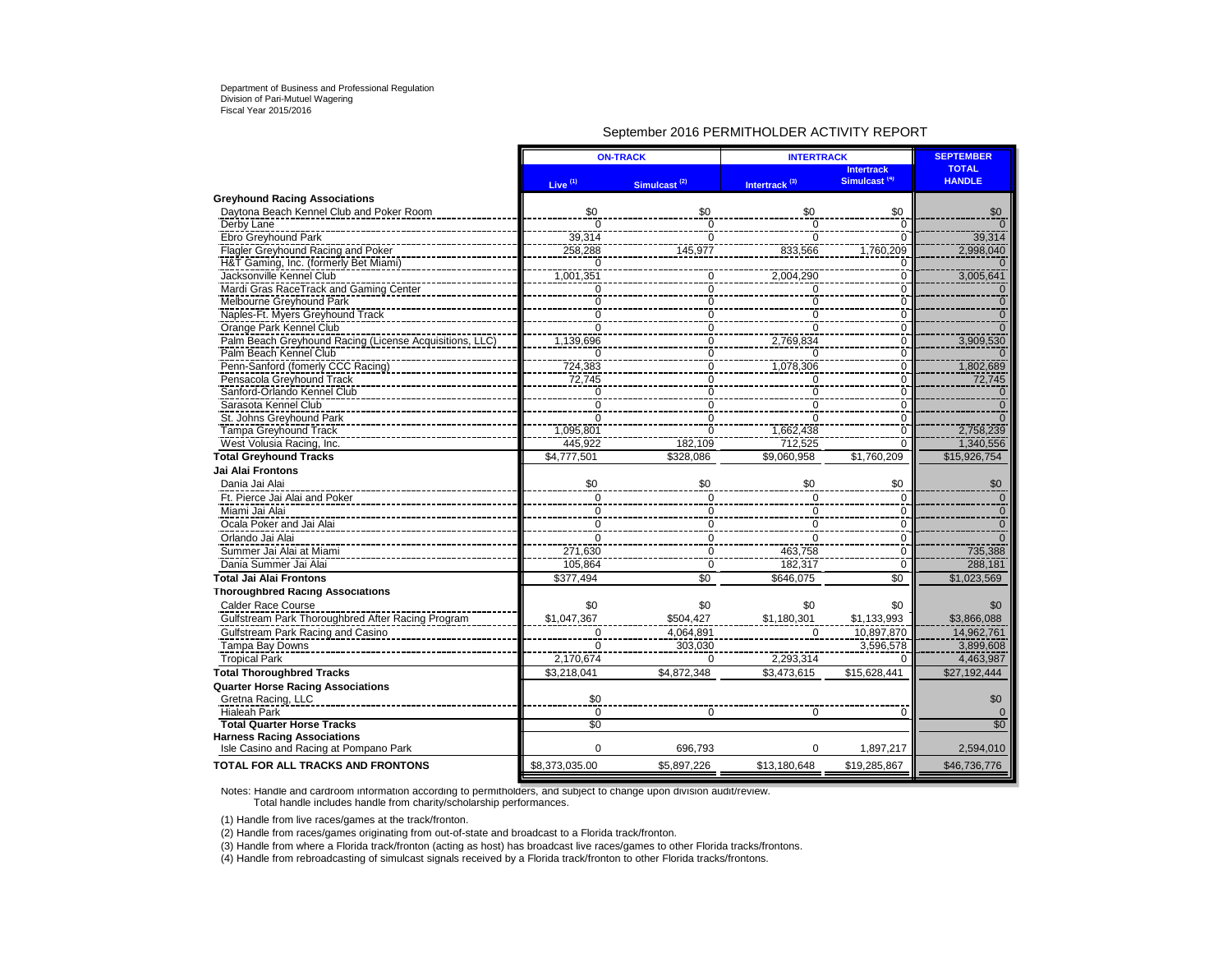### September 2016 PERMITHOLDER ACTIVITY REPORT

|                                                         | <b>ON-TRACK</b>     |                          | <b>INTERTRACK</b>         | <b>SEPTEMBER</b>                              |                               |
|---------------------------------------------------------|---------------------|--------------------------|---------------------------|-----------------------------------------------|-------------------------------|
|                                                         | Live <sup>(1)</sup> | Simulcast <sup>(2)</sup> | Intertrack <sup>(3)</sup> | <b>Intertrack</b><br>Simulcast <sup>(4)</sup> | <b>TOTAL</b><br><b>HANDLE</b> |
| <b>Greyhound Racing Associations</b>                    |                     |                          |                           |                                               |                               |
| Daytona Beach Kennel Club and Poker Room                | \$0                 | \$0                      | \$0                       | \$0                                           | \$0                           |
| Derby Lane                                              | $\overline{0}$      | $\Omega$                 | $\overline{0}$            | $\overline{0}$                                |                               |
| Ebro Greyhound Park                                     | 39,314              | $\overline{0}$           | $\overline{0}$            | $\overline{0}$                                | 39,314                        |
| Flagler Greyhound Racing and Poker                      | 258,288             | 145,977                  | 833,566                   | 1,760,209                                     | 2,998,040                     |
| H&T Gaming, Inc. (formerly Bet Miami)                   | $\Omega$            |                          |                           | 0<br>÷                                        |                               |
| Jacksonville Kennel Club                                | 1,001,351           | $\overline{0}$           | 2,004,290                 | $\overline{0}$                                | 3,005,641                     |
| Mardi Gras RaceTrack and Gaming Center                  | $\mathbf 0$         | $\overline{0}$           | $\mathbf 0$               | $\overline{0}$                                | $\mathbf{0}$                  |
| Melbourne Greyhound Park                                | $\mathbf 0$         | $\mathbf 0$              | $\mathbf 0$               | $\mathbf 0$                                   | $\mathbf{0}$                  |
| Naples-Ft. Myers Greyhound Track                        | $\overline{0}$      | $\overline{0}$           | $\check{\delta}$          | $\frac{8}{0}$                                 | $\overline{0}$                |
| Orange Park Kennel Club                                 | $\overline{0}$      | $\overline{0}$           | $\overline{0}$            | $\frac{8}{0}$                                 | $\overline{0}$                |
| Palm Beach Greyhound Racing (License Acquisitions, LLC) | 1,139,696           | $\overline{0}$           | 2,769,834                 | $\frac{0}{0}$                                 | 3,909,530                     |
| Palm Beach Kennel Club                                  | $\overline{0}$      | $\overline{0}$           | $\overline{0}$            |                                               | $\Omega$                      |
| Penn-Sanford (fomerly CCC Racing)                       | 724,383<br>72,745   | $\overline{0}$           | 1,078,306                 | $\overline{0}$                                | 1,802,689                     |
| Pensacola Greyhound Track                               |                     | $\overline{0}$           | Ō                         | $\overline{0}$                                | 72,745                        |
| Sanford-Orlando Kennel Club                             | $\frac{0}{0}$       | $\overline{0}$           | $\overline{0}$            | $\bar{0}$                                     | $\Omega$                      |
| Sarasota Kennel Club                                    |                     | $\overline{0}$           | $\overline{0}$            | $\overline{0}$                                | $\Omega$                      |
| St. Johns Greyhound Park                                | 0                   | $\overline{0}$           | $\overline{0}$            | $\bar{0}$                                     |                               |
| Tampa Greyhound Track                                   | 1,095,801           | $\mathbf 0$              | 1,662,438                 | $\overline{0}$                                | 2,758,239                     |
| West Volusia Racing, Inc.                               | 445,922             | 182,109                  | 712,525                   | $\Omega$                                      | 1,340,556                     |
| <b>Total Greyhound Tracks</b>                           | \$4,777,501         | \$328,086                | \$9,060,958               | \$1,760,209                                   | \$15,926,754                  |
| <b>Jai Alai Frontons</b>                                |                     |                          |                           |                                               |                               |
| Dania Jai Alai                                          | \$0                 | \$0                      | \$0                       | \$0                                           | \$0                           |
| Ft. Pierce Jai Alai and Poker                           | $\Omega$            | $\Omega$                 | $\Omega$                  | $\Omega$                                      | $\Omega$                      |
| Miami Jai Alai                                          | $\frac{0}{0}$       | $\mathbf 0$              | $\overline{0}$            | $\frac{6}{0}$                                 | 0                             |
| Ocala Poker and Jai Alai                                |                     | $\overline{\mathbf{0}}$  | $\pmb{0}$                 | $\overline{0}$                                | $\mathbf 0$                   |
| Orlando Jai Alai                                        | $\Omega$            | $\Omega$                 | $\Omega$                  | $\overline{0}$                                |                               |
| Summer Jai Alai at Miami                                | 271,630             | $\overline{0}$           | 463,758                   | $\overline{0}$                                | 735,388                       |
| Dania Summer Jai Alai                                   | 105,864             | $\overline{0}$           | 182,317                   | $\overline{0}$                                | 288,181                       |
| <b>Total Jai Alai Frontons</b>                          | \$377.494           | \$0                      | \$646,075                 | \$0                                           | \$1,023,569                   |
| <b>Thoroughbred Racing Associations</b>                 |                     |                          |                           |                                               |                               |
| Calder Race Course                                      | \$0                 | \$0                      | \$0                       | \$0                                           | \$0                           |
| Gulfstream Park Thoroughbred After Racing Program       | \$1,047,367         | \$504.427                | \$1,180,301               | \$1,133,993                                   | \$3,866,088                   |
| Gulfstream Park Racing and Casino                       | $\mathbf 0$         | 4,064,891                | $\Omega$                  | 10,897,870                                    | 14,962,761                    |
| Tampa Bay Downs                                         | $\mathbf 0$         | 303,030                  |                           | 3,596,578                                     | 3,899,608                     |
| <b>Tropical Park</b>                                    | 2.170.674           | $\Omega$                 | 2,293,314                 | $\Omega$                                      | 4.463.987                     |
| <b>Total Thoroughbred Tracks</b>                        | \$3,218,041         | \$4,872,348              | \$3,473,615               | \$15,628,441                                  | \$27,192,444                  |
| <b>Quarter Horse Racing Associations</b>                |                     |                          |                           |                                               |                               |
| Gretna Racing, LLC                                      | \$0                 |                          |                           |                                               | \$0                           |
| Hialeah Park                                            | $\overline{0}$      | $\Omega$                 | $\overline{0}$            | $\overline{0}$                                | $\Omega$                      |
| <b>Total Quarter Horse Tracks</b>                       | $\overline{50}$     |                          |                           |                                               | \$0                           |
| <b>Harness Racing Associations</b>                      |                     |                          |                           |                                               |                               |
| Isle Casino and Racing at Pompano Park                  | $\Omega$            | 696,793                  | $\Omega$                  | 1,897,217                                     | 2,594,010                     |
| <b>TOTAL FOR ALL TRACKS AND FRONTONS</b>                | \$8,373,035.00      | \$5,897,226              | \$13,180,648              | \$19,285,867                                  | \$46,736,776                  |

Notes: Handle and cardroom information according to permitholders, and subject to change upon division audit/review. Total handle includes handle from charity/scholarship performances.

(1) Handle from live races/games at the track/fronton.

(2) Handle from races/games originating from out-of-state and broadcast to a Florida track/fronton.

(3) Handle from where a Florida track/fronton (acting as host) has broadcast live races/games to other Florida tracks/frontons.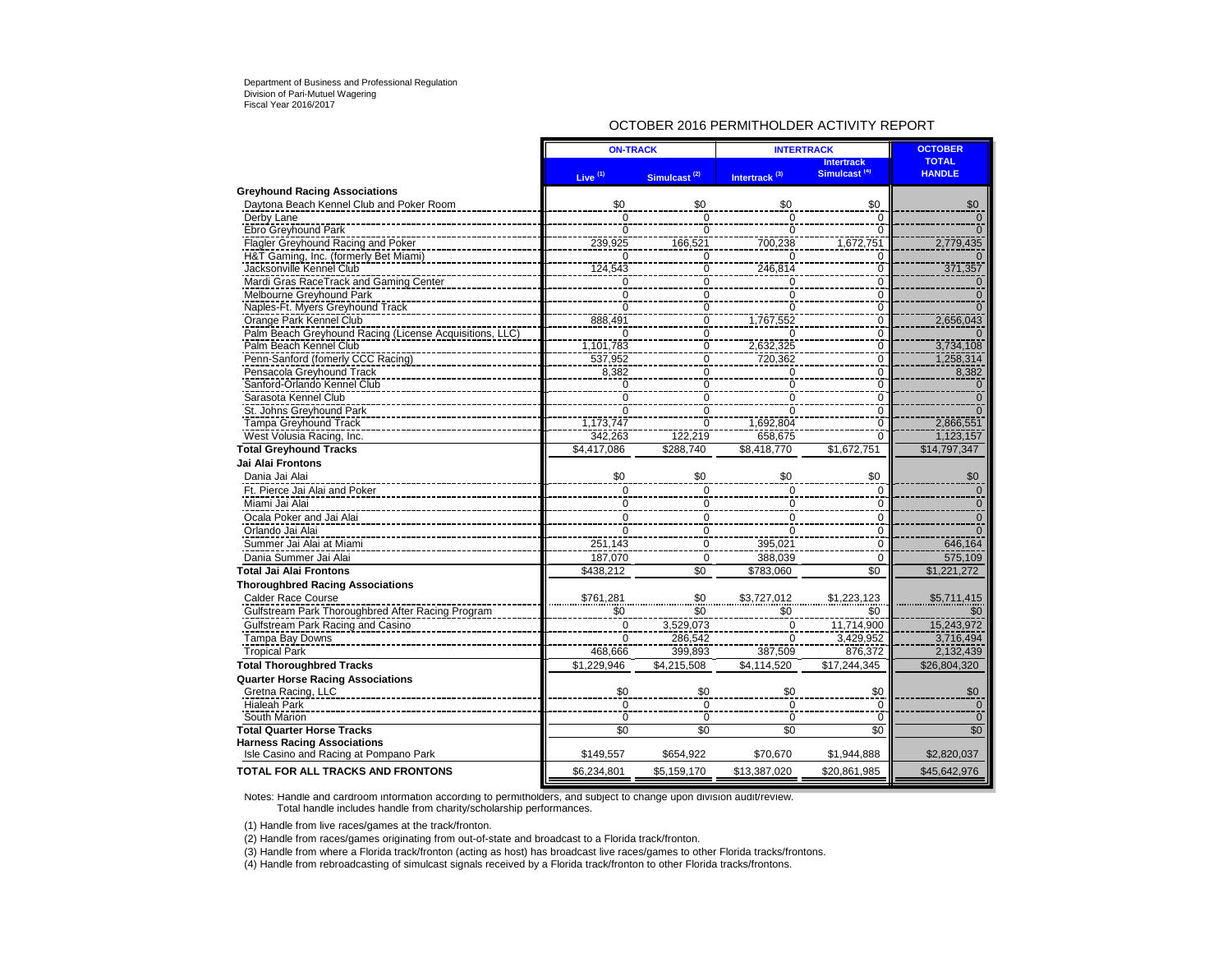### OCTOBER 2016 PERMITHOLDER ACTIVITY REPORT

|                                                         | <b>ON-TRACK</b>        |                          | <b>INTERTRACK</b>               | <b>OCTOBER</b>                                |                               |
|---------------------------------------------------------|------------------------|--------------------------|---------------------------------|-----------------------------------------------|-------------------------------|
|                                                         | Live <sup>(1)</sup>    | Simulcast <sup>(2)</sup> | Intertrack <sup>(3)</sup>       | <b>Intertrack</b><br>Simulcast <sup>(4)</sup> | <b>TOTAL</b><br><b>HANDLE</b> |
| <b>Greyhound Racing Associations</b>                    |                        |                          |                                 |                                               |                               |
| Daytona Beach Kennel Club and Poker Room                | \$0                    | \$0                      | \$0                             | \$0                                           | \$0                           |
| Derby Lane                                              | $\overline{0}$         | $\mathbf 0$              | $\Omega$                        | $\Omega$                                      | $\Omega$                      |
| Ebro Greyhound Park                                     | $\Omega$               | $\overline{0}$           | 0                               | $\Omega$                                      | $\Omega$                      |
| Flagler Greyhound Racing and Poker                      | 239,925                | 166,521                  | 700,238                         | 1,672,751                                     | 2,779,435                     |
| H&T Gaming, Inc. (formerly Bet Miami)                   | O                      | $\overline{0}$           | U                               | $\Omega$                                      |                               |
| Jacksonville Kennel Club                                | 124,543                | $\overline{0}$           | 246,814                         | $\frac{0}{0}$                                 | 371,357                       |
| Mardi Gras RaceTrack and Gaming Center                  | $\Omega$               | ō                        | $\Omega$                        |                                               |                               |
| Melbourne Greyhound Park                                | $\overline{0}$         | $\overline{0}$           | ō                               | $\overline{0}$                                |                               |
| Naples-Ft. Myers Greyhound Track                        | $\overline{0}$         | $\overline{0}$           | $\overline{0}$                  | $\overline{0}$                                |                               |
| Orange Park Kennel Club                                 | 888,491                | $\frac{0}{0}$            | 1,767,552                       | $\overline{0}$                                | 2,656,043                     |
| Palm Beach Greyhound Racing (License Acquisitions, LLC) | ō                      |                          | $\mathbf 0$                     | $\frac{8}{0}$                                 |                               |
| Palm Beach Kennel Club                                  | 1,101,783              | $\frac{0}{0}$            | 2,632,325                       | $\frac{0}{0}$                                 | 3,734,108                     |
| Penn-Sanford (fomerly CCC Racing)                       | 537,952                |                          | 720,362                         |                                               | 1,258,314                     |
| Pensacola Greyhound Track                               | 8,382                  | $\frac{0}{0}$            | $\mathbf 0$                     | $\Omega$                                      | 8,382                         |
| Sanford-Orlando Kennel Club                             | $\overline{0}$         |                          | $\check{\overline{\mathrm{o}}}$ | $\frac{8}{0}$                                 |                               |
| Sarasota Kennel Club                                    | Ō                      | $\frac{0}{0}$            | $\overline{0}$                  | $\overline{0}$                                |                               |
| St. Johns Greyhound Park                                | $\check{\bar{\delta}}$ |                          | $\overline{0}$                  | Ō                                             |                               |
| <b>Tampa Greyhound Track</b>                            | 1,173,747              | $\overline{0}$           | 1,692,804                       | $\overline{\overline{0}}$                     | 2,866,551                     |
| West Volusia Racing, Inc.                               | 342,263                | 122,219                  | 658,675                         | $\overline{0}$                                | 1,123,157                     |
| <b>Total Greyhound Tracks</b>                           | \$4,417,086            | \$288,740                | \$8,418,770                     | \$1,672,751                                   | \$14,797,347                  |
| Jai Alai Frontons                                       |                        |                          |                                 |                                               |                               |
| Dania Jai Alai                                          | \$0                    | \$0                      | \$0                             | \$0                                           | \$0                           |
| Ft. Pierce Jai Alai and Poker                           | $\mathbf 0$            | $\mathbf 0$              | $\mathbf 0$                     | $\mathbf 0$                                   | $\Omega$                      |
| Miami Jai Alai                                          | $\Omega$               | $\Omega$                 | $\Omega$                        | $\mathbf 0$                                   | $\Omega$                      |
| Ocala Poker and Jai Alai                                | $\overline{0}$         | $\mathbf 0$              | 0                               | $\mathbf 0$                                   | $\overline{0}$                |
| Orlando Jai Alai                                        | $\overline{0}$         | $\pmb{0}$                | 0                               | $\mathbf 0$                                   |                               |
| Summer Jai Alai at Miami                                | 251,143                | $\overline{0}$           | 395,021                         | $\mathbf 0$                                   | 646,164                       |
| Dania Summer Jai Alai                                   | 187,070                | $\mathbf 0$              | 388.039                         | $\mathbf 0$                                   | 575,109                       |
| Total Jai Alai Frontons                                 | \$438.212              | \$0                      | \$783,060                       | \$0                                           | \$1,221,272                   |
| <b>Thoroughbred Racing Associations</b>                 |                        |                          |                                 |                                               |                               |
| <b>Calder Race Course</b>                               | \$761,281              |                          | \$3,727,012                     | \$1,223,123                                   | \$5,711,415                   |
| Gulfstream Park Thoroughbred After Racing Program       | \$0                    | \$0<br>\$0               |                                 | \$0                                           | \$0                           |
| Gulfstream Park Racing and Casino                       | $\mathbf 0$            |                          | \$0<br>$\mathbf 0$              |                                               | 15,243,972                    |
|                                                         | <u>ົດ</u>              | 3,529,073<br>286.542     | $\overline{0}$                  | 11,714,900<br>3.429.952                       | 3.716.494                     |
| Tampa Bay Downs                                         |                        |                          |                                 |                                               |                               |
| <b>Tropical Park</b>                                    | 468,666                | 399,893                  | 387,509                         | 876,372                                       | 2,132,439                     |
| <b>Total Thoroughbred Tracks</b>                        | \$1,229,946            | \$4,215,508              | \$4,114,520                     | \$17,244,345                                  | \$26,804,320                  |
| <b>Quarter Horse Racing Associations</b>                |                        |                          |                                 |                                               |                               |
| Gretna Racing, LLC                                      | \$0                    | \$0                      | \$0                             | $\frac{$0}{0}$                                | \$0                           |
| <b>Hialeah Park</b>                                     | ō                      | $\overline{0}$           | $\overline{0}$                  |                                               | $\overline{0}$                |
| South Marion                                            | $\mathbf 0$            | $\overline{0}$           | $\overline{0}$                  | Ō                                             | $\Omega$                      |
| <b>Total Quarter Horse Tracks</b>                       | \$0                    | $\overline{50}$          | \$0                             | \$0                                           | \$0                           |
| <b>Harness Racing Associations</b>                      |                        |                          |                                 |                                               |                               |
| Isle Casino and Racing at Pompano Park                  | \$149,557              | \$654,922                | \$70.670                        | \$1,944,888                                   | \$2,820,037                   |
| TOTAL FOR ALL TRACKS AND FRONTONS                       | \$6,234,801            | \$5,159,170              | \$13,387,020                    | \$20,861,985                                  | \$45,642,976                  |

Notes: Handle and cardroom information according to permitholders, and subject to change upon division audit/review. Total handle includes handle from charity/scholarship performances.

(1) Handle from live races/games at the track/fronton.

(2) Handle from races/games originating from out-of-state and broadcast to a Florida track/fronton.

(3) Handle from where a Florida track/fronton (acting as host) has broadcast live races/games to other Florida tracks/frontons.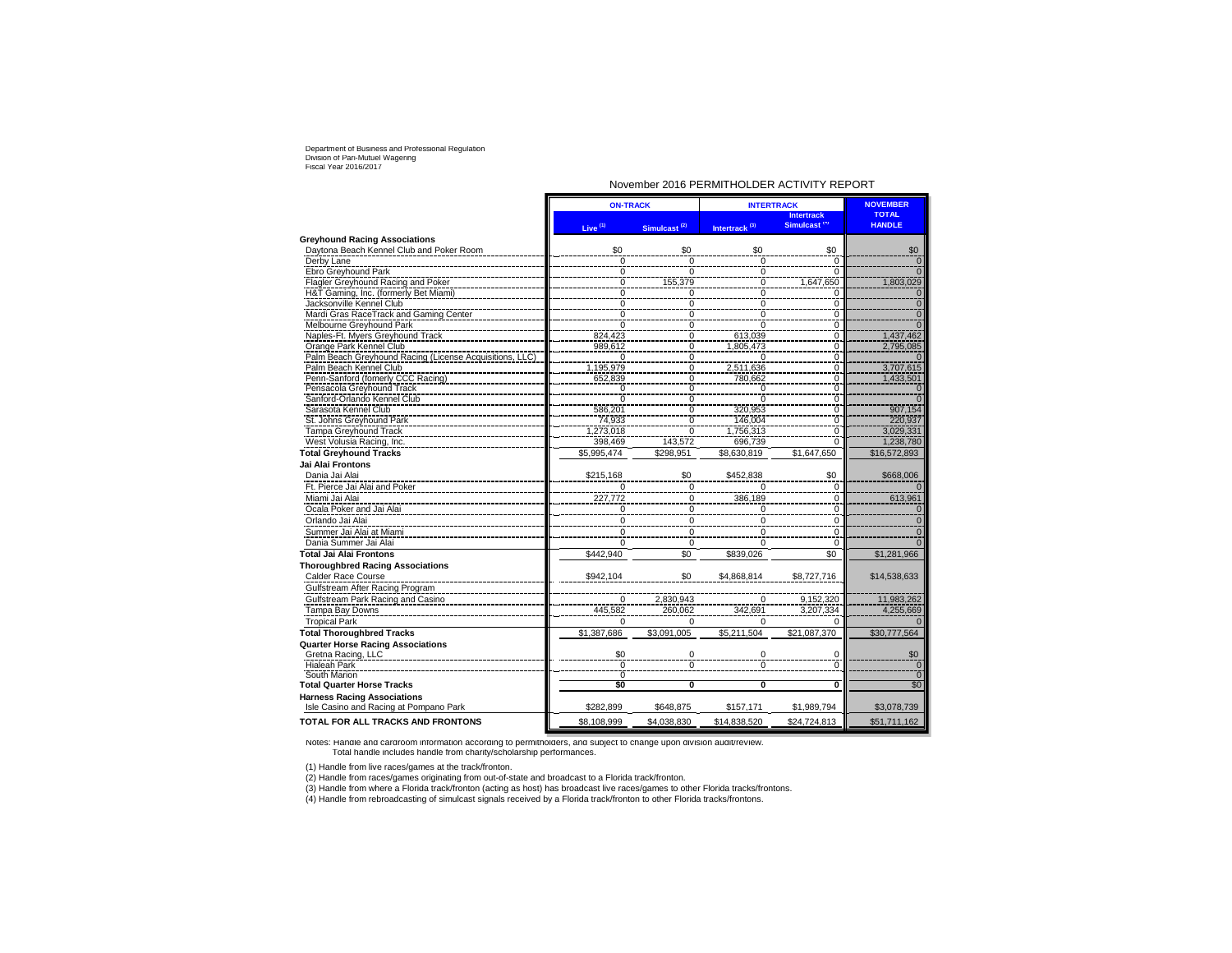### November 2016 PERMITHOLDER ACTIVITY REPORT

|                                                                              | <b>ON-TRACK</b>     |                          | <b>INTERTRACK</b>         | <b>NOVEMBER</b>                               |                               |
|------------------------------------------------------------------------------|---------------------|--------------------------|---------------------------|-----------------------------------------------|-------------------------------|
|                                                                              | Live <sup>(1)</sup> | Simulcast <sup>(2)</sup> | Intertrack <sup>(3)</sup> | <b>Intertrack</b><br>Simulcast <sup>(4)</sup> | <b>TOTAL</b><br><b>HANDLE</b> |
| <b>Greyhound Racing Associations</b>                                         |                     |                          |                           |                                               |                               |
| Daytona Beach Kennel Club and Poker Room                                     | \$0                 | \$0                      | \$0                       | \$0                                           | \$0                           |
| Derby Lane                                                                   | $\mathbf 0$         | $\overline{0}$           | $\overline{0}$            | 0                                             | $\Omega$                      |
| Ebro Greyhound Park                                                          | 0                   | $\Omega$                 | 0                         | $\Omega$                                      |                               |
| Flagler Greyhound Racing and Poker                                           | Ō                   | 155,379                  | $\overline{0}$            | 1,647,650                                     | 1,803,029                     |
| H&T Gaming, Inc. (formerly Bet Miami)                                        | Ō                   | $\Omega$                 | $\overline{0}$            | $\Omega$                                      |                               |
| Jacksonville Kennel Club                                                     | $\overline{0}$      | $\overline{0}$           | $\overline{0}$            | $\overline{0}$                                | $\overline{0}$                |
| Mardi Gras RaceTrack and Gaming Center                                       |                     | $\overline{0}$           | $\overline{0}$            | $\overline{0}$                                | $\Omega$                      |
| Melbourne Greyhound Park                                                     | $\frac{0}{0}$       | $\overline{0}$           | $\overline{0}$            | Ō                                             |                               |
| Naples-Ft. Myers Greyhound Track                                             | 824,423             | $\Omega$                 | 613,039                   | $\mathbf 0$                                   | 1,437,462                     |
| Orange Park Kennel Club                                                      | 989,612             | $\overline{0}$           | 1,805,473                 | Ō                                             | 2,795,085                     |
| Palm Beach Greyhound Racing (License Acquisitions, LLC)                      | $\Omega$            | $\overline{0}$           | $\Omega$                  | $\mathbf 0$                                   |                               |
| Palm Beach Kennel Club                                                       | 1,195,979           | $\overline{0}$           | 2,511,636                 | 0                                             | 3,707,615                     |
| Penn-Sanford (fomerly CCC Racing)                                            | 652,839             | $\overline{0}$           | 780,662                   | Ō                                             | 1,433,501                     |
| Pensacola Greyhound Track                                                    |                     |                          |                           |                                               |                               |
|                                                                              | 0                   | 0<br>$\overline{0}$      | 0<br>$\Omega$             | $\mathsf 0$                                   |                               |
| Sanford-Orlando Kennel Club                                                  | 0                   | 0                        | 320,953                   | $\mathsf 0$                                   | 907,154                       |
| Sarasota Kennel Club<br>St. Johns Greyhound Park                             | 586,201<br>74,933   | $\overline{0}$           | 146.004                   | 0<br>Ō                                        | 220.937                       |
|                                                                              |                     |                          |                           |                                               |                               |
| Tampa Greyhound Track                                                        | 1,273,018           | $\Omega$                 | 1,756,313                 | $\mathsf 0$                                   | 3,029,331                     |
| West Volusia Racing, Inc.                                                    | 398,469             | 143,572                  | 696,739                   | $\Omega$                                      | 1,238,780                     |
| <b>Total Greyhound Tracks</b>                                                | \$5,995,474         | \$298,951                | \$8,630,819               | \$1,647,650                                   | \$16,572,893                  |
| Jai Alai Frontons                                                            |                     |                          |                           |                                               |                               |
| Dania Jai Alai                                                               | \$215,168           | \$0                      | \$452,838                 | \$0                                           | \$668,006                     |
| Ft. Pierce Jai Alai and Poker                                                |                     | $\Omega$                 |                           | $\Omega$                                      |                               |
| Miami Jai Alai                                                               | 227,772             | $\overline{0}$           | 386,189                   | 0                                             | 613,961                       |
| Ocala Poker and Jai Alai                                                     | 0                   | 0                        | 0                         | 0                                             | $\Omega$                      |
| Orlando Jai Alai                                                             | $\mathbf 0$         | $\mathbf 0$              | 0                         | $\Omega$                                      | $\Omega$                      |
| Summer Jai Alai at Miami                                                     | 0                   | $\mathbf 0$              | $\Omega$                  | $\mathsf 0$                                   | $\Omega$                      |
| Dania Summer Jai Alai                                                        | 0                   | 0                        | $\Omega$                  | 0                                             |                               |
| Total Jai Alai Frontons                                                      | \$442,940           | \$0                      | \$839,026                 | \$0                                           | \$1,281,966                   |
| <b>Thoroughbred Racing Associations</b>                                      |                     |                          |                           |                                               |                               |
| Calder Race Course                                                           | \$942,104           | \$0                      | \$4,868,814               | \$8,727,716                                   | \$14,538,633                  |
| Gulfstream After Racing Program                                              |                     |                          |                           |                                               |                               |
| Gulfstream Park Racing and Casino                                            | 0                   | 2,830,943                | 0                         | 9,152,320                                     | 11,983,262                    |
| Tampa Bay Downs                                                              |                     | 260.062                  |                           |                                               |                               |
|                                                                              | 445,582             |                          | 342,691                   | 3,207,334                                     | 4,255,669                     |
| <b>Tropical Park</b>                                                         | $\Omega$            | $\Omega$                 | $\Omega$                  | $\Omega$                                      |                               |
| <b>Total Thoroughbred Tracks</b>                                             | \$1,387,686         | \$3,091,005              | \$5,211,504               | \$21,087,370                                  | \$30,777,564                  |
| <b>Quarter Horse Racing Associations</b>                                     |                     |                          |                           |                                               |                               |
| Gretna Racing, LLC                                                           | \$0                 | 0                        | 0                         | 0                                             | \$0                           |
| <b>Hialeah Park</b>                                                          | 0                   | $\mathbf 0$              | $\Omega$                  | ō                                             |                               |
| South Marion                                                                 | Ō                   |                          |                           |                                               | Ō                             |
| <b>Total Quarter Horse Tracks</b>                                            | \$0                 | 0                        | Ō                         | O                                             | \$0                           |
| <b>Harness Racing Associations</b><br>Isle Casino and Racing at Pompano Park | \$282,899           | \$648,875                | \$157,171                 | \$1,989,794                                   | \$3,078,739                   |
| <b>TOTAL FOR ALL TRACKS AND FRONTONS</b>                                     | \$8,108,999         | \$4,038,830              | \$14,838,520              | \$24,724,813                                  | \$51,711,162                  |
|                                                                              |                     |                          |                           |                                               |                               |

Notes: Handle and cardroom information according to permitholders, and subject to change upon division audit/review. Total handle includes handle from charity/scholarship performances.

(1) Handle from live races/games at the track/fronton.

(2) Handle from races/games originating from out-of-state and broadcast to a Florida track/fronton.

(3) Handle from where a Florida track/fronton (acting as host) has broadcast live races/games to other Florida tracks/frontons.<br>(4) Handle from rebroadcasting of simulcast signals received by a Florida track/fronton to oth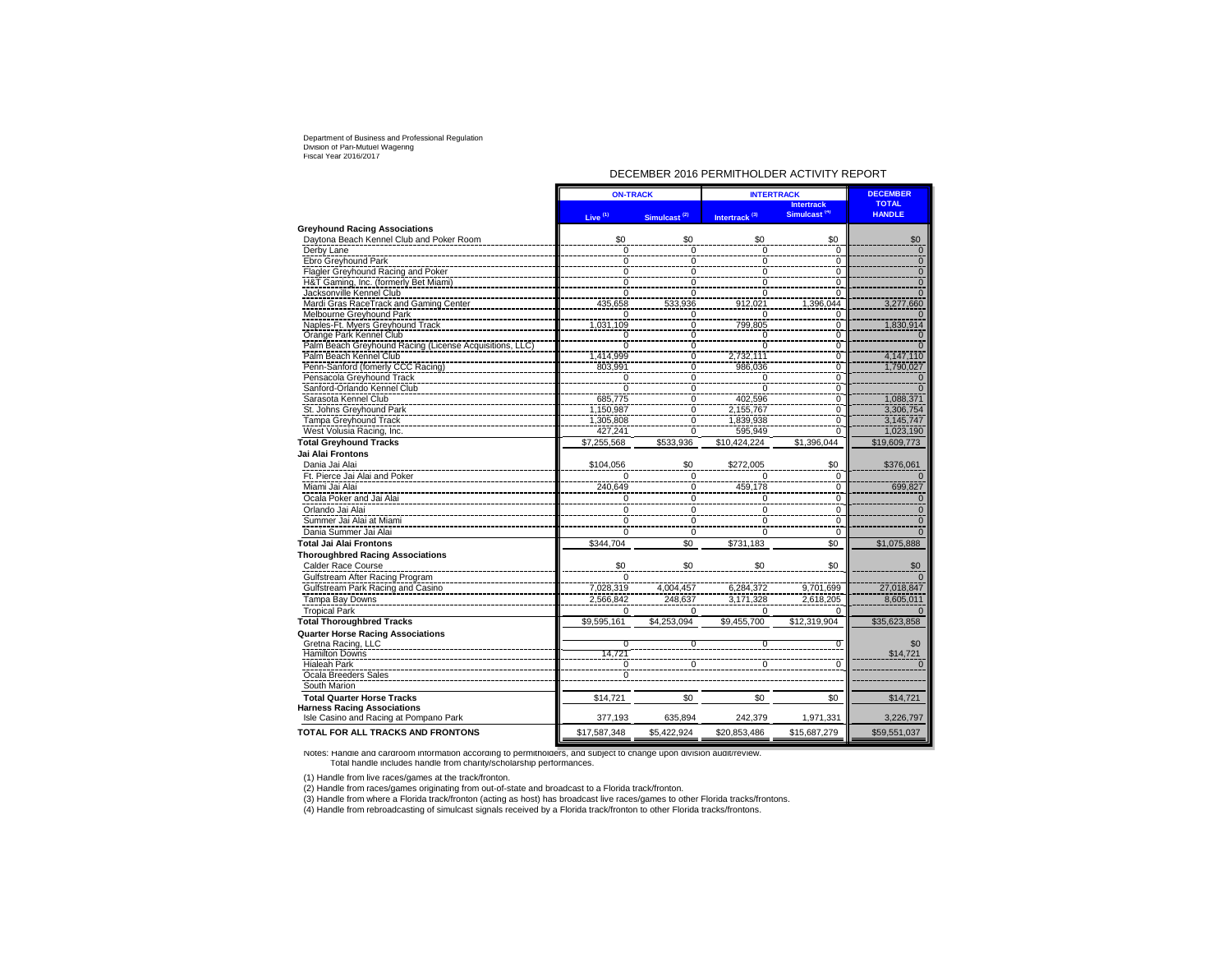#### DECEMBER 2016 PERMITHOLDER ACTIVITY REPORT

|                                                         | <b>ON-TRACK</b> |                          | <b>INTERTRACK</b>         | <b>DECEMBER</b>          |                 |
|---------------------------------------------------------|-----------------|--------------------------|---------------------------|--------------------------|-----------------|
|                                                         |                 |                          |                           | <b>Intertrack</b>        | <b>TOTAL</b>    |
|                                                         | Live $(1)$      | Simulcast <sup>(2)</sup> | Intertrack <sup>(3)</sup> | Simulcast <sup>(4)</sup> | <b>HANDLE</b>   |
| <b>Greyhound Racing Associations</b>                    |                 |                          |                           |                          |                 |
| Daytona Beach Kennel Club and Poker Room                | \$0             | \$0                      | \$0                       | \$0                      | \$0             |
| Derby Lane                                              | $\Omega$        | $\mathbf 0$              | $\Omega$                  | $\Omega$                 | $\mathbf{0}$    |
| Ebro Greyhound Park                                     | $\Omega$        | $\Omega$                 | $\overline{0}$            | $\Omega$                 | $\Omega$        |
| Flagler Greyhound Racing and Poker                      | $\Omega$        | $\Omega$                 | $\overline{0}$            | $\Omega$                 | $\Omega$        |
| H&T Gaming, Inc. (formerly Bet Miami)                   | 0               | $\mathbf 0$              | 0                         | 0                        | $\mathbf{0}$    |
| Jacksonville Kennel Club                                | $\Omega$        | $\Omega$                 | $\overline{0}$            | $\Omega$                 |                 |
| Mardi Gras RaceTrack and Gaming Center                  | 435,658         | 533,936                  | 912,021                   | 1,396,044                | 3,277,660       |
| Melbourne Greyhound Park                                | 0               | $\Omega$                 | $\Omega$                  | $\Omega$                 |                 |
| Naples-Ft. Myers Greyhound Track                        | 1,031,109       | $\overline{0}$           | 799,805                   | 0                        | 1,830,914       |
| Orange Park Kennel Club                                 | $\Omega$        | $\mathbf 0$              | 0                         | $\overline{0}$           |                 |
| Palm Beach Greyhound Racing (License Acquisitions, LLC) | $\Omega$        | $\Omega$                 | $\overline{0}$            | $\overline{0}$           |                 |
| Palm Beach Kennel Club                                  | 1,414,999       | $\mathbf 0$              | 2,732,111                 | 0                        | 4,147,110       |
| Penn-Sanford (fomerly CCC Racing)                       | 803.991         | $\overline{0}$           | 986.036                   | 0                        | 1,790,027       |
| Pensacola Greyhound Track                               | $\Omega$        | 0                        | 0                         | 0                        |                 |
| Sanford-Orlando Kennel Club                             | $\overline{0}$  | $\overline{0}$           | $\overline{0}$            | $\overline{0}$           |                 |
| Sarasota Kennel Club                                    | 685,775         | $\overline{0}$           | 402,596                   | 0                        | 1,088,371       |
| St. Johns Greyhound Park                                | 1,150,987       | $\overline{0}$           | 2,155,767                 | $\overline{0}$           | 3,306,754       |
| <b>Tampa Greyhound Track</b>                            | 1,305,808       | 0                        | 1,839,938                 | $\Omega$                 | 3,145,747       |
| West Volusia Racing, Inc.                               | 427.241         | $\Omega$                 | 595,949                   | $\overline{0}$           | 1,023,190       |
| <b>Total Greyhound Tracks</b>                           | \$7.255.568     | \$533.936                | \$10.424.224              | \$1.396.044              | \$19,609,773    |
| Jai Alai Frontons                                       |                 |                          |                           |                          |                 |
| Dania Jai Alai                                          | \$104,056       | \$0                      | \$272,005                 | \$0                      | \$376,061       |
| Ft. Pierce Jai Alai and Poker                           |                 | 0                        |                           | $\mathbf 0$              |                 |
| Miami Jai Alai                                          | 240,649         | $\mathbf 0$              | 459,178                   | 0                        | 699,827         |
| Ocala Poker and Jai Alai                                | 0               | $\mathbf 0$              | 0                         | 0                        | $\Omega$        |
| Orlando Jai Alai                                        | $\Omega$        | $\mathbf 0$              | 0                         | 0                        | $\Omega$        |
| Summer Jai Alai at Miami                                | $\Omega$        | $\mathbf 0$              | 0                         | 0                        | $\Omega$        |
| Dania Summer Jai Alai                                   | $\Omega$        | $\Omega$                 | $\Omega$                  | $\Omega$                 |                 |
| <b>Total Jai Alai Frontons</b>                          | \$344,704       | \$0                      | \$731,183                 | \$0                      | \$1,075,888     |
| <b>Thoroughbred Racing Associations</b>                 |                 |                          |                           |                          |                 |
|                                                         |                 |                          |                           |                          |                 |
| Calder Race Course                                      | \$0<br>$\Omega$ | \$0                      | \$0                       | \$0                      | \$0<br>$\Omega$ |
| Gulfstream After Racing Program                         |                 |                          |                           |                          |                 |
| Gulfstream Park Racing and Casino                       | 7,028,319       | 4,004,457                | 6,284,372                 | 9,701,699                | 27,018,847      |
| Tampa Bay Downs                                         | 2,566,842       | 248,637                  | 3,171,328                 | 2,618,205                | 8,605,011       |
| <b>Tropical Park</b>                                    | $\Omega$        | $\Omega$                 | $\Omega$                  |                          |                 |
| <b>Total Thoroughbred Tracks</b>                        | \$9,595,161     | \$4,253,094              | \$9,455,700               | \$12,319,904             | \$35,623,858    |
| <b>Quarter Horse Racing Associations</b>                |                 |                          |                           |                          |                 |
| Gretna Racing, LLC                                      | $\overline{0}$  | $\overline{0}$           | 0                         | $\Omega$                 | \$0             |
| <b>Hamilton Downs</b>                                   | 14,721          |                          |                           |                          | \$14,721        |
| <b>Hialeah Park</b>                                     | $\Omega$        | $\Omega$                 | O                         | $\Omega$                 | $\Omega$        |
| Ocala Breeders Sales                                    | $\Omega$        |                          |                           |                          |                 |
| South Marion                                            |                 |                          |                           |                          |                 |
| <b>Total Quarter Horse Tracks</b>                       | \$14,721        | \$0                      | \$0                       | \$0                      | \$14,721        |
| <b>Harness Racing Associations</b>                      |                 |                          |                           |                          |                 |
| Isle Casino and Racing at Pompano Park                  | 377,193         | 635,894                  | 242,379                   | 1,971,331                | 3,226,797       |
| <b>TOTAL FOR ALL TRACKS AND FRONTONS</b>                | \$17,587,348    | \$5,422,924              | \$20,853,486              | \$15,687,279             | \$59,551,037    |

Notes: Handle and cardroom information according to permitholders, and subject to change upon division audit/review. Total handle includes handle from charity/scholarship performances.

(1) Handle from live races/games at the track/fronton.

(2) Handle from races/games originating from out-of-state and broadcast to a Florida track/fronton.<br>(3) Handle from where a Florida track/fronton (acting as host) has broadcast live races/games to other Florida tracks/fron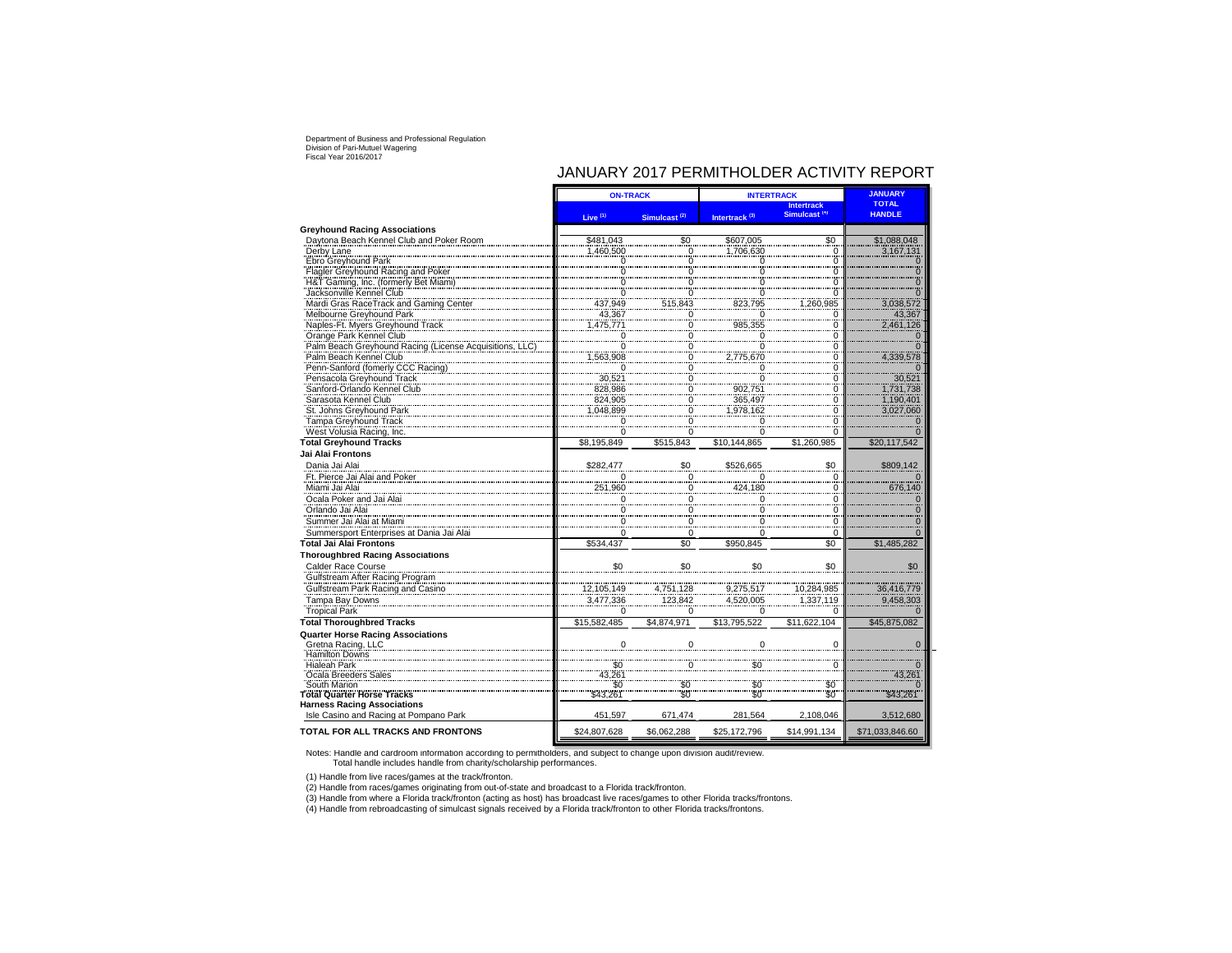# JANUARY 2017 PERMITHOLDER ACTIVITY REPORT

|                                                                                  | <b>ON-TRACK</b>        |                          | <b>INTERTRACK</b>         | <b>JANUARY</b>                                |                               |
|----------------------------------------------------------------------------------|------------------------|--------------------------|---------------------------|-----------------------------------------------|-------------------------------|
|                                                                                  |                        |                          |                           | <b>Intertrack</b><br>Simulcast <sup>(4)</sup> | <b>TOTAL</b><br><b>HANDLE</b> |
|                                                                                  | Live <sup>(1)</sup>    | Simulcast <sup>(2)</sup> | Intertrack <sup>(3)</sup> |                                               |                               |
| <b>Greyhound Racing Associations</b><br>Daytona Beach Kennel Club and Poker Room |                        |                          |                           |                                               |                               |
| Derby Lane                                                                       | \$481,043<br>1,460,500 | \$0<br>Ö                 | \$607,005<br>1,706,630    | \$0<br>$\mathbf 0$                            | \$1,088,048<br>3,167,131      |
| Ebro Greyhound Park                                                              | $\Omega$               | 0                        |                           | $\overline{0}$                                | $\Omega$                      |
| Flagler Greyhound Racing and Poker                                               | $\Omega$               | 0                        | $\overline{0}$<br>0       | 0                                             |                               |
| H&T Gaming, Inc. (formerly Bet Miami)                                            |                        | 0                        | 0                         | $\Omega$                                      |                               |
| Jacksonville Kennel Club                                                         |                        | 0                        | $\ddot{o}$                | ö                                             |                               |
| Mardi Gras RaceTrack and Gaming Center                                           | 437,949                | 515,843                  | 823,795                   | 1,260,985                                     | 3,038,572                     |
| Melbourne Greyhound Park                                                         | 43,367                 | 0                        | 0                         | 0                                             | 43,367                        |
| Naples-Ft. Myers Greyhound Track                                                 | 1,475,771              |                          | 985,355                   | C                                             | 2,461,126                     |
| Orange Park Kennel Club                                                          | $\Omega$               | 0                        | $\Omega$                  | $\Omega$                                      | $\Omega$                      |
| Palm Beach Greyhound Racing (License Acquisitions, LLC                           | $\Omega$               | 0                        | 0                         | 0                                             | $\Omega$                      |
| Palm Beach Kennel Club                                                           | 1,563,908              | 0                        | 2,775,670                 | 0                                             | 4,339,578                     |
| Penn-Sanford (fomerly CCC Racing)                                                | $\Omega$               | 0                        | $\overline{0}$            | 0                                             | $\cap$                        |
| Pensacola Greyhound Track                                                        | 30,521                 | $\overline{0}$           | 0                         | $\frac{0}{0}$                                 | 30,521                        |
| Sanford-Orlando Kennel Club                                                      | 828.986                | 0                        | 902,751                   |                                               | 1,731,738                     |
| Sarasota Kennel Club                                                             | 824.905                | 0                        | 365,497                   | 0                                             | 1,190,401                     |
| St. Johns Greyhound Park                                                         | 1,048,899              | $\Omega$                 | ,978,162                  | 0                                             | 3,027,060                     |
| Tampa Greyhound Track                                                            | $\Omega$               | 0                        | 0                         | C                                             | n                             |
| West Volusia Racing, Inc.                                                        | $\Omega$               | $\Omega$                 | Ö                         | $\Omega$                                      | $\overline{0}$                |
| <b>Total Greyhound Tracks</b>                                                    | \$8,195,849            | \$515.843                | \$10.144.865              | \$1,260,985                                   | \$20,117,542                  |
| Jai Alai Frontons                                                                |                        |                          |                           |                                               |                               |
| Dania Jai Alai                                                                   | \$282.477              | \$0                      | \$526,665                 | \$0                                           | \$809,142                     |
| Ft. Pierce Jai Alai and Poker                                                    |                        | $\Omega$                 |                           | 0                                             |                               |
| Miami Jai Alai                                                                   | 251,960                |                          | 424.180                   | 0                                             | 676,140                       |
| Ocala Poker and Jai Alai                                                         |                        |                          | $\Omega$                  | $\Omega$                                      |                               |
| Orlando Jai Alai                                                                 |                        |                          | 0                         | 0                                             |                               |
| Summer Jai Alai at Miami                                                         |                        | $\Omega$                 | $\Omega$                  | $\Omega$                                      |                               |
| Summersport Enterprises at Dania Jai Alai                                        |                        | $\Omega$                 | 0                         | $\Omega$                                      |                               |
| <b>Total Jai Alai Frontons</b>                                                   | \$534,437              | \$0                      | \$950,845                 | \$0                                           | \$1,485,282                   |
| <b>Thoroughbred Racing Associations</b>                                          |                        |                          |                           |                                               |                               |
| Calder Race Course                                                               | \$0                    |                          | \$0                       | \$0                                           | \$0                           |
| Gulfstream After Racing Program                                                  |                        |                          |                           |                                               |                               |
| Gulfstream Park Racing and Casino                                                | 12,105,149             | 4,751,128                | 9,275,517                 | 10,284,985                                    | 36,416,779                    |
| Tampa Bay Downs                                                                  | 3,477,336              | 123,842                  | 4,520,005                 | 1,337,119                                     | 9,458,303                     |
| <b>Tropical Park</b>                                                             |                        | $\Omega$                 | $\Omega$                  |                                               |                               |
| <b>Total Thoroughbred Tracks</b>                                                 | \$15,582,485           | \$4.874.971              | \$13.795.522              | \$11.622.104                                  | \$45,875,082                  |
| <b>Quarter Horse Racing Associations</b>                                         |                        |                          |                           |                                               |                               |
| Gretna Racing, LLC                                                               |                        | $\Omega$                 | $\Omega$                  | $\epsilon$                                    | $\Omega$                      |
| <b>Hamilton Downs</b>                                                            |                        |                          |                           |                                               |                               |
| <b>Hialeah Park</b>                                                              | \$0                    |                          | \$0                       | C                                             | $\Omega$                      |
| Ocala Breeders Sales                                                             | 43,261                 |                          |                           |                                               | 43,261                        |
| South Marion                                                                     | \$0                    | $$^{0}_{50}$             | \$0                       | \$0                                           |                               |
| <b>Total Quarter Horse Tracks</b>                                                | \$43.261               |                          | \$0                       | .<br>SO                                       | \$43.261                      |
| <b>Harness Racing Associations</b>                                               |                        |                          |                           |                                               |                               |
| Isle Casino and Racing at Pompano Park                                           | 451,597                | 671,474                  | 281,564                   | 2,108,046                                     | 3,512,680                     |
| TOTAL FOR ALL TRACKS AND FRONTONS                                                | \$24,807,628           | \$6,062,288              | \$25,172,796              | \$14,991,134                                  | \$71,033,846.60               |

Notes: Handle and cardroom information according to permitholders, and subject to change upon division audit/review. Total handle includes handle from charity/scholarship performances.

(1) Handle from live races/games at the track/fronton.

(2) Handle from races/games originating from out-of-state and broadcast to a Florida track/fronton.<br>(3) Handle from where a Florida track/fronton (acting as host) has broadcast live races/games to other Florida tracks/fron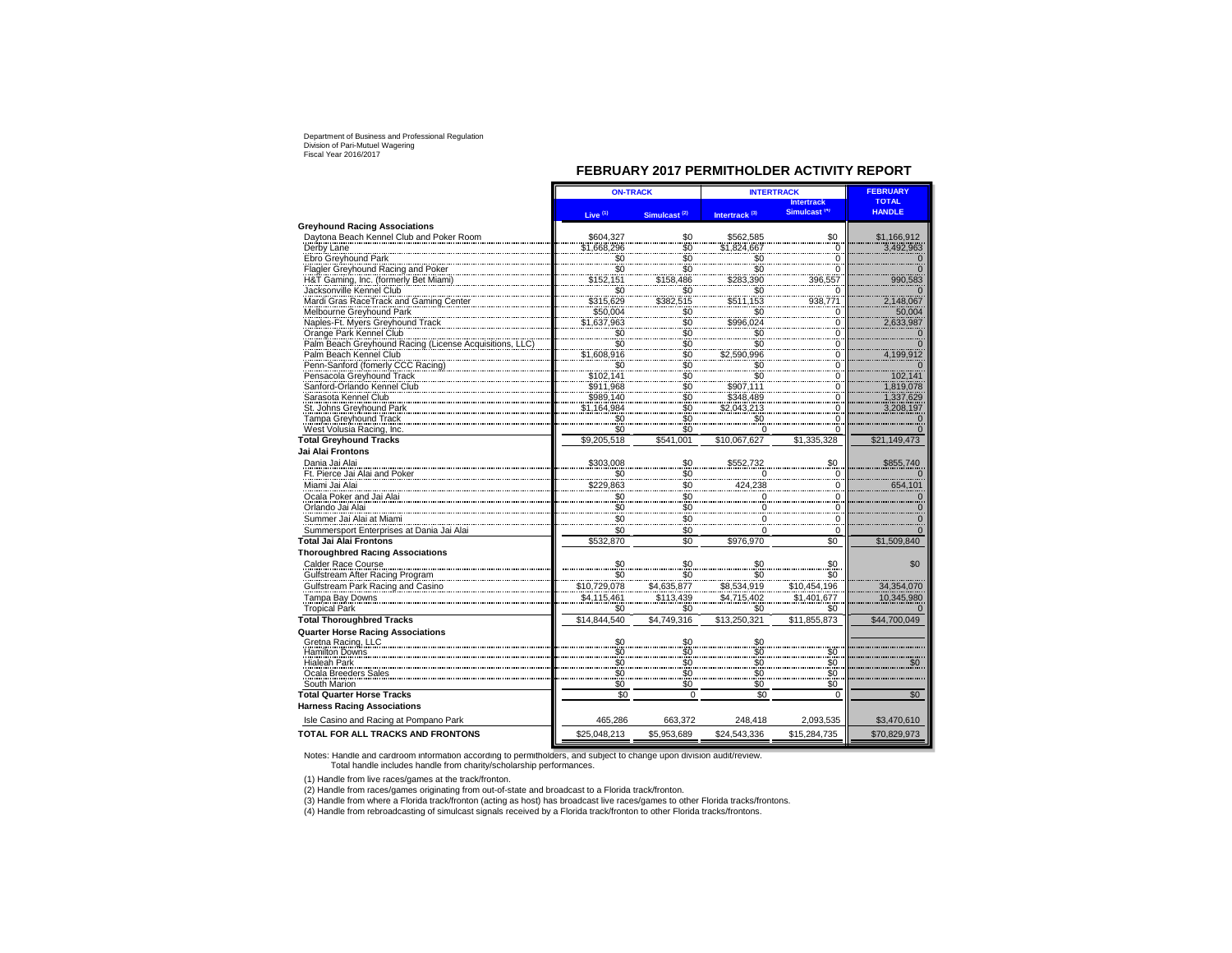### **FEBRUARY 2017 PERMITHOLDER ACTIVITY REPORT**

|                                                                             | <b>ON-TRACK</b>        |                                              | <b>INTERTRACK</b>            | <b>FEBRUARY</b>                |                        |
|-----------------------------------------------------------------------------|------------------------|----------------------------------------------|------------------------------|--------------------------------|------------------------|
|                                                                             |                        |                                              |                              | <b>Intertrack</b>              | <b>TOTAL</b>           |
|                                                                             | Live $(1)$             | Simulcast <sup>(2)</sup>                     | Intertrack <sup>(3)</sup>    | Simulcast <sup>(4)</sup>       | <b>HANDLE</b>          |
| <b>Greyhound Racing Associations</b>                                        |                        |                                              |                              |                                |                        |
| Daytona Beach Kennel Club and Poker Room                                    | \$604,327              | \$0                                          | \$562,585                    | \$0                            | \$1,166,912            |
| Derby Lane                                                                  | \$1,668,296            | $\overline{\$0}$                             | \$1,824,667                  | $\mathbf 0$                    | 3,492,963              |
| Ebro Greyhound Park                                                         | \$0<br>\$0             | $\frac{1}{50}$                               | \$0<br>\$0                   | $\overline{0}$                 |                        |
| Flagler Greyhound Racing and Poker                                          |                        |                                              |                              | $\check{\circ}$                |                        |
| H&T Gaming, Inc. (formerly Bet Miami)                                       | \$152,151              | \$158,486                                    | \$283,390                    | 396,557                        | 990,583                |
| Jacksonville Kennel Club                                                    | \$0                    | \$0                                          | \$0                          | $\Omega$                       |                        |
| Mardi Gras RaceTrack and Gaming Center                                      | \$315,629              | \$382.515                                    | \$511.153                    | 938,771                        | 2,148,067              |
| Melbourne Greyhound Park                                                    | \$50,004               | $$^{6}_{90}_{80}_{80}_{80}$                  | \$0<br>\$996,024             | $\mathbf 0$                    | 50,004                 |
| Naples-Ft. Myers Greyhound Track                                            | \$1,637,963            |                                              |                              | $\check{\circ}$                | 2,633,987              |
| Orange Park Kennel Club                                                     | \$0<br>\$0             |                                              | \$0<br>$\ddot{s}$            | $\frac{0}{0}$                  |                        |
| Palm Beach Greyhound Racing (License Acquisitions,                          |                        |                                              | \$2,590,996                  |                                |                        |
| Palm Beach Kennel Club                                                      | \$1,608,916            |                                              |                              | 0<br>$\ddot{o}$                | 4,199,912              |
| Penn-Sanford (fomerly CCC Racing)<br>Pensacola Greyhound Track              | $$0$<br>$$102,141$     | $\frac{1}{20}$                               | \$0<br>\$0                   | $\overline{0}$                 | 102.141                |
|                                                                             |                        |                                              |                              | $\frac{3}{0}$                  |                        |
| Sanford-Orlando Kennel Club<br>Sarasota Kennel Club                         | \$911,968<br>\$989.140 |                                              | \$907,111<br>\$348,489       |                                | 1,819,078<br>1,337,629 |
| St. Johns Greyhound Park                                                    | \$1,164,984            | $$^{6}_{80}$<br>$$^{6}_{80}$<br>$$^{6}_{80}$ | \$2,043,213                  | $\frac{0}{0}$                  |                        |
| <b>Tampa Greyhound Track</b>                                                | \$0                    |                                              | \$0                          |                                | 3,208,197              |
| West Volusia Racing, Inc.                                                   | \$0                    | $\overline{50}$                              |                              | $\ddot{o}$                     |                        |
| <b>Total Greyhound Tracks</b>                                               | \$9,205,518            | \$541,001                                    | \$10,067,627                 | \$1,335,328                    | \$21,149,473           |
| Jai Alai Frontons                                                           |                        |                                              |                              |                                |                        |
| Dania Jai Alai                                                              | \$303,008              | \$0                                          | \$552,732                    | \$0                            | \$855,740              |
| Ft. Pierce Jai Alai and Poker                                               | \$0                    | \$0                                          |                              |                                |                        |
| Miami Jai Alai                                                              | \$229,863              | \$0                                          | 424,238                      | 0<br>$\mathbf 0$               | 654,101                |
| Ocala Poker and Jai Alai                                                    | \$0                    | \$0                                          | 0                            |                                |                        |
| Orlando Jai Alai                                                            | \$0                    | $\ddot{s}$                                   | 0                            | $\overline{0}$<br>$\mathbf 0$  |                        |
|                                                                             | \$0                    | $\frac{6}{50}$                               |                              |                                |                        |
| Summer Jai Alai at Miami                                                    | \$0                    | \$0                                          |                              | $\overline{0}$<br>0            |                        |
| Summersport Enterprises at Dania Jai Alai<br><b>Total Jai Alai Frontons</b> | \$532,870              | \$0                                          | \$976,970                    | \$0                            |                        |
|                                                                             |                        |                                              |                              |                                | \$1,509,840            |
| <b>Thoroughbred Racing Associations</b>                                     | \$0                    | \$0                                          | \$0                          | \$0                            |                        |
| Calder Race Course                                                          |                        |                                              |                              |                                | \$0                    |
| Gulfstream After Racing Program                                             | \$0                    | \$0                                          | \$0                          | \$0                            |                        |
| Gulfstream Park Racing and Casino                                           | \$10,729,078           | \$4,635,877                                  | \$8,534,919                  | \$10,454,196                   | 34,354,070             |
| Tampa Bay Downs                                                             | \$4,115,461            | \$113,439                                    | \$4,715,402                  | \$1,401,677                    | 10,345,980             |
| <b>Tropical Park</b>                                                        | \$0                    | \$0                                          | \$0                          | \$0                            |                        |
| <b>Total Thoroughbred Tracks</b>                                            | \$14.844.540           | \$4.749.316                                  | \$13.250.321                 | \$11.855.873                   | \$44,700,049           |
| <b>Quarter Horse Racing Associations</b>                                    |                        |                                              |                              |                                |                        |
| Gretna Racing, LLC<br>Hamilton Downs                                        | \$0<br>šō              | \$0<br>$\tilde{50}$                          | \$0                          |                                |                        |
| <b>Hialeah Park</b>                                                         |                        |                                              |                              |                                |                        |
| Ocala Breeders Sales                                                        | $\frac{80}{30}$        | $\frac{1}{30}$                               | $$^{6}_{80}$<br>$$^{6}_{80}$ | $$^{6}_{80}_{80}$              |                        |
| South Marion                                                                | \$0                    | $\overline{\$0}$                             | \$0                          | $\ddot{\text{s}}$ <sup>0</sup> |                        |
| <b>Total Quarter Horse Tracks</b>                                           | \$0                    | $\overline{0}$                               | \$0                          | $\overline{0}$                 | \$0                    |
| <b>Harness Racing Associations</b>                                          |                        |                                              |                              |                                |                        |
| Isle Casino and Racing at Pompano Park                                      | 465,286                | 663,372                                      | 248,418                      | 2,093,535                      | \$3,470,610            |
| TOTAL FOR ALL TRACKS AND FRONTONS                                           | \$25,048,213           | \$5,953,689                                  | \$24,543,336                 | \$15,284,735                   | \$70,829,973           |
|                                                                             |                        |                                              |                              |                                |                        |

Notes: Handle and cardroom information according to permitholders, and subject to change upon division audit/review. Total handle includes handle from charity/scholarship performances.

(1) Handle from live races/games at the track/fronton.

(2) Handle from races/games originating from out-of-state and broadcast to a Florida track/fronton.

(3) Handle from where a Florida track/fronton (acting as host) has broadcast live races/games to other Florida tracks/frontons.<br>(4) Handle from rebroadcasting of simulcast signals received by a Florida track/fronton to oth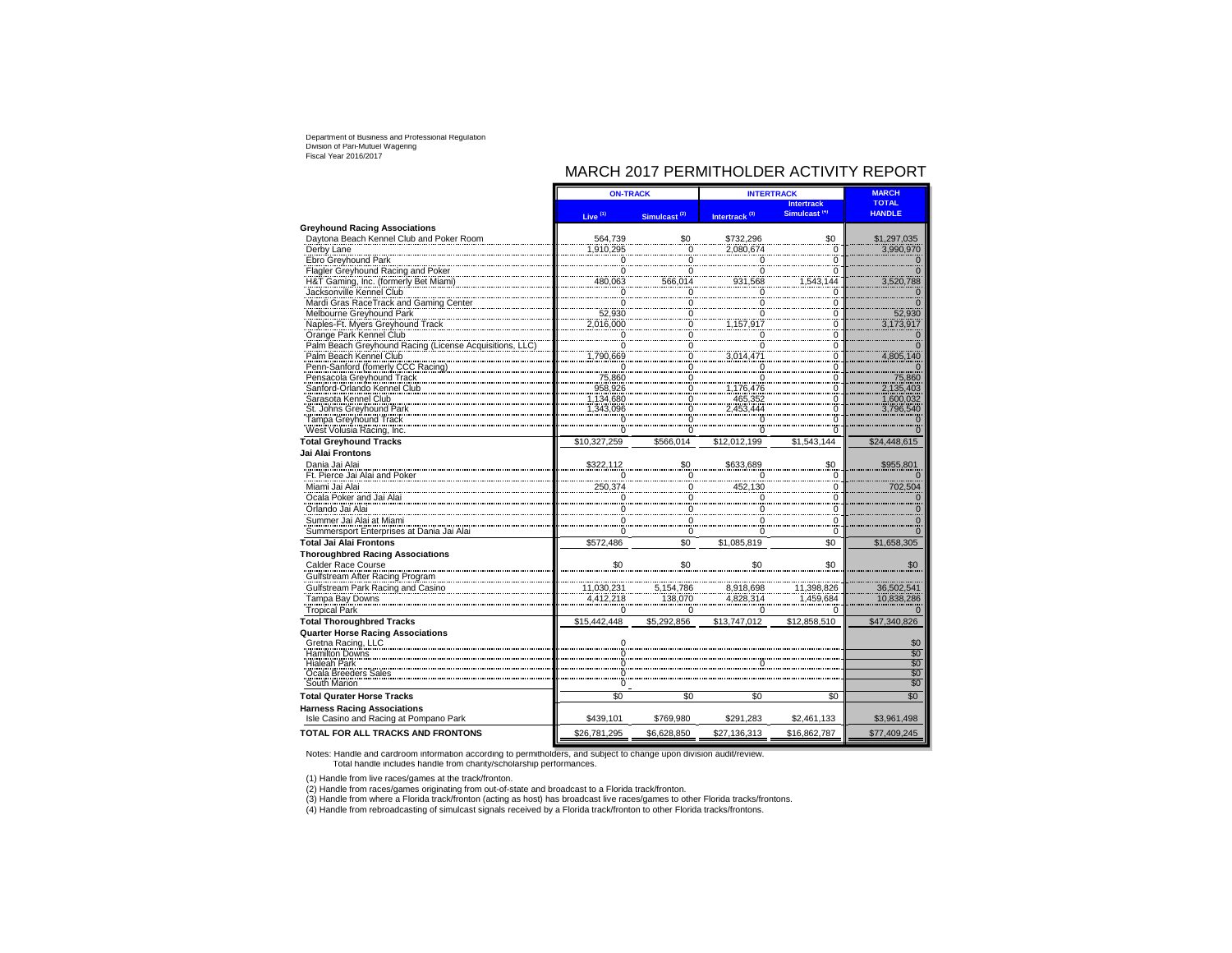# MARCH 2017 PERMITHOLDER ACTIVITY REPORT

|                                                             | <b>ON-TRACK</b>          |                                  | <b>INTERTRACK</b>         | <b>MARCH</b>                                  |                               |
|-------------------------------------------------------------|--------------------------|----------------------------------|---------------------------|-----------------------------------------------|-------------------------------|
|                                                             | Live <sup>(1)</sup>      | Simulcast <sup>(2)</sup>         | Intertrack <sup>(3)</sup> | <b>Intertrack</b><br>Simulcast <sup>(4)</sup> | <b>TOTAL</b><br><b>HANDLE</b> |
| <b>Greyhound Racing Associations</b>                        |                          |                                  |                           |                                               |                               |
| Daytona Beach Kennel Club and Poker Room                    | 564,739                  | \$0                              | \$732,296                 | \$0                                           | \$1,297,035                   |
| Derby Lane                                                  | 1,910,295                | $\Omega$                         | 2,080,674                 | $\Omega$                                      | 3,990,970                     |
| Ebro Greyhound Park                                         | $\Omega$                 | 0                                | $\Omega$                  | 0                                             |                               |
| Flagler Greyhound Racing and Poker                          | $\Omega$                 | 0                                | $\Omega$                  | 0                                             | $\Omega$                      |
| H&T Gaming, Inc. (formerly Bet Miami)                       | 480,063                  | 566,014                          | 931,568                   | 1,543,144                                     | 3,520,788                     |
| Jacksonville Kennel Club                                    | $\Omega$                 | 0                                | 0                         | $\Omega$                                      |                               |
| Mardi Gras RaceTrack and Gaming Center                      | $\overline{0}$<br>52.930 | $\overline{0}$<br>$\overline{0}$ | $\Omega$                  | $\overline{0}$<br>$\overline{0}$              |                               |
| Melbourne Greyhound Park                                    |                          |                                  | 0                         |                                               | 52.930                        |
| Naples-Ft. Myers Greyhound Track<br>Orange Park Kennel Club | 2,016,000<br>$\Omega$    | $\pmb{0}$<br>0                   | 1,157,917<br>ŋ            | $\overline{0}$<br>$\overline{0}$              | 3,173,917                     |
| Palm Beach Greyhound Racing (License Acquisitions,          | $\Omega$                 | $\overline{0}$                   | 0                         | $\overline{0}$                                |                               |
| Palm Beach Kennel Club                                      | 1,790,669                | $\mathsf 0$                      | 3.014.471                 | $\mathbf 0$                                   | 4,805,140                     |
| Penn-Sanford (fomerly CCC Racing)                           | $\Omega$                 | 0                                | O                         | 0                                             |                               |
| Pensacola Greyhound Track                                   | 75,860                   | $\overline{0}$                   |                           |                                               | 75,860                        |
| Sanford-Orlando Kennel Club                                 | 958.926                  | $\overline{0}$                   | 1,176,476                 | $\frac{0}{0}$                                 | 2,135,403                     |
| Sarasota Kennel Club                                        | 1,134,680                | 0                                | 465,352                   | 0                                             | 1,600,032                     |
| St. Johns Greyhound Park                                    | 1,343,096                | $\overline{\mathbf{0}}$          | 2.453.444                 | $\ddot{\rm{o}}$                               | 3,796,540                     |
| Tampa Greyhound Track                                       | $\Omega$                 | $\mathbf 0$                      | 0                         | $\overline{0}$                                |                               |
| West Volusia Racing, Inc.                                   | 0                        | 0                                | $\Omega$                  | $\overline{0}$                                | $\Omega$                      |
| <b>Total Greyhound Tracks</b>                               | \$10,327,259             | \$566,014                        | \$12,012,199              | \$1,543,144                                   | \$24,448,615                  |
| Jai Alai Frontons                                           |                          |                                  |                           |                                               |                               |
| Dania Jai Alai                                              | \$322,112                | \$0                              | \$633.689                 | \$0                                           | \$955,801                     |
| Ft. Pierce Jai Alai and Poker                               | $\Omega$                 | $\mathbf 0$                      | $\Omega$                  | 0                                             | $\Omega$                      |
| Miami Jai Alai                                              | 250.374                  | $\Omega$                         | 452,130                   | $\overline{0}$                                | 702,504                       |
| Ocala Poker and Jai Alai                                    | $\Omega$                 | $\Omega$                         | $\Omega$                  | $\Omega$                                      |                               |
| Orlando Jai Alai                                            | $\Omega$                 | $\Omega$                         | 0                         | $\Omega$                                      |                               |
| Summer Jai Alai at Miami                                    | $\Omega$                 | $\mathbf 0$                      | 0                         | $\Omega$                                      |                               |
| Summersport Enterprises at Dania Jai Alai                   | $\Omega$                 | $\Omega$                         | $\Omega$                  | 0                                             |                               |
| Total Jai Alai Frontons                                     | \$572,486                | \$0                              | \$1,085,819               | \$0                                           | \$1,658,305                   |
| <b>Thoroughbred Racing Associations</b>                     |                          |                                  |                           |                                               |                               |
| Calder Race Course                                          | \$0                      | \$0                              | \$0                       | \$0                                           | \$0                           |
| Gulfstream After Racing Program                             |                          |                                  |                           |                                               |                               |
| Gulfstream Park Racing and Casino                           | 11,030,231               | 5,154,786                        | 8,918,698                 | 11,398,826                                    | 36,502,541                    |
| Tampa Bay Downs                                             | 4,412,218                | 138,070                          | 4,828,314                 | ,459,684                                      | 10,838,286                    |
| <b>Tropical Park</b>                                        | $\Omega$                 | $\Omega$                         |                           | 0                                             |                               |
| <b>Total Thoroughbred Tracks</b>                            | \$15,442,448             | \$5,292,856                      | \$13,747,012              | \$12,858,510                                  | \$47,340,826                  |
| <b>Quarter Horse Racing Associations</b>                    |                          |                                  |                           |                                               |                               |
| Gretna Racing, LLC<br><b>Hamilton Downs</b>                 | $\Omega$<br>$\Omega$     |                                  |                           |                                               | \$0<br>\$0                    |
| <b>Hialeah Park</b>                                         | ö                        |                                  |                           |                                               | \$0                           |
| Ocala Breeders Sales                                        |                          |                                  |                           |                                               | \$0                           |
| South Marion                                                | ö                        |                                  |                           |                                               | \$0                           |
| <b>Total Qurater Horse Tracks</b>                           | \$0                      | \$0                              | \$0                       | \$0                                           | \$0                           |
| <b>Harness Racing Associations</b>                          |                          |                                  |                           |                                               |                               |
| Isle Casino and Racing at Pompano Park                      | \$439,101                | \$769,980                        | \$291,283                 | \$2,461,133                                   | \$3,961,498                   |
| TOTAL FOR ALL TRACKS AND FRONTONS                           | \$26,781,295             | \$6,628,850                      | \$27,136,313              | \$16,862,787                                  | \$77,409,245                  |

Notes: Handle and cardroom information according to permitholders, and subject to change upon division audit/review. Total handle includes handle from charity/scholarship performances.

(1) Handle from live races/games at the track/fronton. (2) Handle from races/games originating from out-of-state and broadcast to a Florida track/fronton.

(3) Handle from where a Florida track/fronton (acting as host) has broadcast live races/games to other Florida tracks/frontons.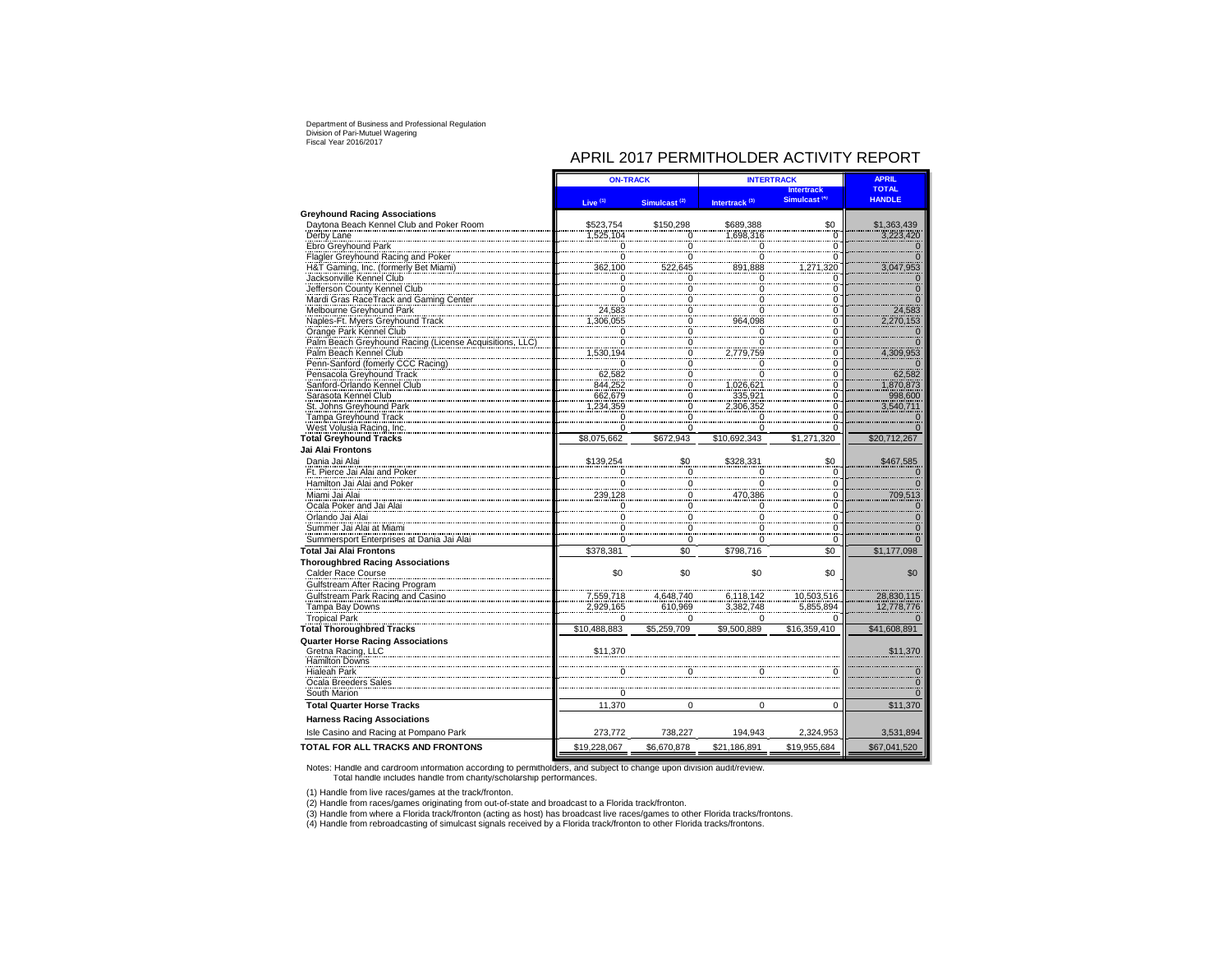# APRIL 2017 PERMITHOLDER ACTIVITY REPORT

|                                                    | <b>ON-TRACK</b>         |                                      | <b>INTERTRACK</b>         |                          | <b>APRIL</b>  |
|----------------------------------------------------|-------------------------|--------------------------------------|---------------------------|--------------------------|---------------|
|                                                    |                         |                                      |                           | <b>Intertrack</b>        | <b>TOTAL</b>  |
|                                                    | Live <sup>(1)</sup>     | Simulcast <sup>(2)</sup>             | Intertrack <sup>(3)</sup> | Simulcast <sup>(9)</sup> | <b>HANDLE</b> |
| <b>Greyhound Racing Associations</b>               |                         |                                      |                           |                          |               |
| Daytona Beach Kennel Club and Poker Room           | \$523,754               | \$150,298                            | \$689,388                 | \$0                      | \$1,363,439   |
| Derby Lane                                         | 1,525,104               | 0                                    | 1,698,316                 | 0                        | 3,223,420     |
| Ebro Greyhound Park                                | 0                       | $\Omega$                             |                           | 0                        |               |
| Flagler Greyhound Racing and Poker                 | 0                       | $\Omega$                             |                           | 0                        |               |
| H&T Gaming, Inc. (formerly Bet Miami)              | 362,100                 | 522,645                              | 891,888                   | 320<br>,271              | 3,047,953     |
| Jacksonville Kennel Club                           | $\overline{0}$          | $\mathbf 0$                          | 0                         | $\overline{0}$           |               |
| Jefferson County Kennel Club                       | $\pmb{0}$               | $\pmb{0}$                            |                           | $\overline{0}$           |               |
| Mardi Gras RaceTrack and Gaming Center             | 0                       | 0                                    |                           | 0                        |               |
| Melbourne Greyhound Park                           | 24.583                  | $\begin{matrix} 0 \\ 0 \end{matrix}$ |                           | $\Omega$                 | 24,583        |
| Naples-Ft. Myers Greyhound Track                   | 1,306,055               |                                      | 964.098                   | ö                        | 2,270,153     |
| Orange Park Kennel Club                            | n                       | $\Omega$                             |                           | $\overline{0}$           |               |
| Palm Beach Greyhound Racing (License Acquisitions, | 0                       | $\overline{0}$                       |                           | 0                        |               |
| Palm Beach Kennel Club                             | ,530,194                | 0                                    | 2,779,759                 | $\Omega$                 | 4,309,953     |
| Penn-Sanford (fomerly CCC Racing)                  | $\overline{0}$          | $\overline{0}$                       |                           | $\overline{0}$           |               |
| Pensacola Greyhound Track                          | 62,582                  | 0                                    |                           | $\ddot{\mathbf{0}}$      | 62.582        |
| Sanford-Orlando Kennel Club                        | 844.252                 | $\overline{0}$                       | 1.026.621                 | 0                        | 1.870.873     |
| Sarasota Kennel Club                               | 662,679                 | 0                                    | 335,92                    | $\Omega$                 | 998,600       |
| St. Johns Greyhound Park                           | 1,234,359               | $\overline{0}$                       | 2,306,352                 | 0                        | 3,540,711     |
| Tampa Greyhound Track                              | 0                       | 0                                    |                           | 0                        |               |
| West Volusia Racing, Inc.                          | $\Omega$                | $\Omega$                             |                           | O                        |               |
| <b>Total Greyhound Tracks</b>                      | \$8.075.662             | \$672.943                            | \$10.692.343              | \$1.271.320              | \$20,712,267  |
| Jai Alai Frontons                                  |                         |                                      |                           |                          |               |
| Dania Jai Alai                                     | \$139,254               | \$0                                  | \$328,331                 | \$0                      | \$467,585     |
| Ft. Pierce Jai Alai and Poker                      | $\overline{\mathbf{0}}$ | $\boldsymbol{0}$                     | O                         | $\Omega$                 | $\Omega$      |
| Hamilton Jai Alai and Poker                        | $\overline{0}$          | 0                                    |                           | 0                        |               |
| Miami Jai Alai                                     | 239,128                 | $\mathbf 0$                          | 470.386                   | 0                        | 709,513       |
| Ocala Poker and Jai Alai                           | 0                       | $\mathbf 0$                          |                           | 0                        | $\Omega$      |
| Orlando Jai Alai                                   |                         |                                      |                           | $\Omega$                 |               |
| Summer Jai Alai at Miami                           | 0                       | 0                                    |                           | $\Omega$                 |               |
| Summersport Enterprises at Dania Jai Alai          | 0                       | $\mathbf 0$                          | 0                         | $\mathbf 0$              | $\Omega$      |
| <b>Total Jai Alai Frontons</b>                     | \$378,381               | \$0                                  | \$798,716                 | \$0                      | \$1,177,098   |
|                                                    |                         |                                      |                           |                          |               |
| <b>Thoroughbred Racing Associations</b>            |                         |                                      |                           |                          |               |
| Calder Race Course                                 | \$0                     | \$0                                  | \$0                       | \$0                      | \$0           |
| Gulfstream After Racing Program                    |                         |                                      |                           |                          |               |
| Gulfstream Park Racing and Casino                  | 7,559,718               | 4,648,740                            | 6,118,142                 | 10,503,516               | 28,830,115    |
| Tampa Bay Downs                                    | 2,929,165               | 610,969                              | 3,382,748                 | 5,855,894                | 12,778,776    |
| <b>Tropical Park</b>                               | $\Omega$                | 0                                    |                           | 0                        |               |
| <b>Total Thoroughbred Tracks</b>                   | \$10,488,883            | \$5,259,709                          | \$9,500,889               | \$16,359,410             | \$41,608,891  |
| <b>Quarter Horse Racing Associations</b>           |                         |                                      |                           |                          |               |
| Gretna Racing, LLC<br><b>Hamilton Downs</b>        | \$11,370                |                                      |                           |                          | \$11,370      |
| <b>Hialeah Park</b>                                |                         |                                      |                           |                          |               |
| Ocala Breeders Sales                               |                         |                                      |                           |                          |               |
| South Marion                                       | 0                       |                                      |                           |                          |               |
| <b>Total Quarter Horse Tracks</b>                  | 11,370                  | $\mathbf 0$                          | 0                         | $\Omega$                 | \$11,370      |
| <b>Harness Racing Associations</b>                 |                         |                                      |                           |                          |               |
| Isle Casino and Racing at Pompano Park             | 273,772                 | 738,227                              | 194,943                   | 2,324,953                | 3,531,894     |
| TOTAL FOR ALL TRACKS AND FRONTONS                  | \$19,228,067            | \$6,670,878                          | \$21,186,891              | \$19,955,684             | \$67,041,520  |

Notes: Handle and cardroom information according to permitholders, and subject to change upon division audit/review. Total handle includes handle from charity/scholarship performances.

(1) Handle from live races/games at the track/fronton.

(2) Handle from races/games originating from out-of-state and broadcast to a Florida track/fronton.<br>(3) Handle from where a Florida track/fronton (acting as host) has broadcast live races/games to other Florida tracks/fron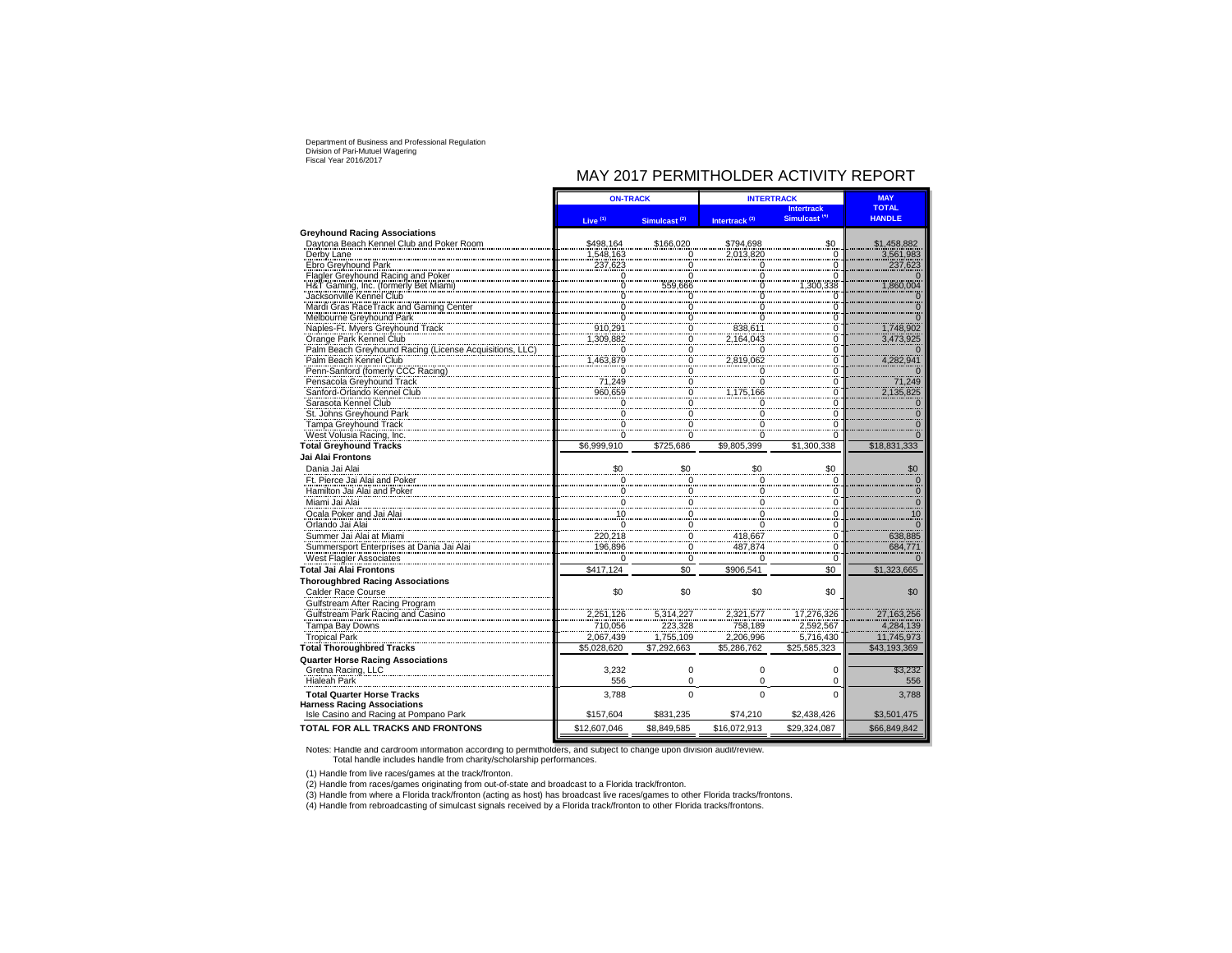# MAY 2017 PERMITHOLDER ACTIVITY REPORT

| Simulcast <sup>(4)</sup><br><b>HANDLE</b><br>Live <sup>(1)</sup><br>Intertrack <sup>(3)</sup><br>Simulcast <sup>(2)</sup><br><b>Greyhound Racing Associations</b><br>Davtona Beach Kennel Club and Poker Room<br>\$166.020<br>\$0<br>\$498,164<br>\$794.698<br>\$1,458,882<br>Derby Lane<br>1,548,163<br>2,013,820<br>3,561,983<br>$\overline{0}$<br>$\Omega$<br>Ebro Greyhound Park<br>237,623<br>237,623<br>0<br>$\Omega$<br>Flagler Greyhound Racing and Poker<br>$\overline{0}$<br>0<br>0<br>H&T Gaming, Inc. (formerly Bet Miami)<br>1,300,338<br>1,860,004<br>0<br>559,666<br>$\Omega$<br>Jacksonville Kennel Club<br>0<br>0<br>0<br>Mardi Gras RaceTrack and Gaming Center<br>0<br>0<br>$\boldsymbol{0}$<br>Melbourne Greyhound Park<br>$\overline{\phantom{0}}$<br>0<br>$\Omega$<br>1,748,902<br>Naples-Ft. Myers Greyhound Track<br>910,291<br>838,611<br>$\Omega$<br>$\Omega$<br>1.309.882<br>2.164.043<br>Orange Park Kennel Club<br>$\overline{0}$<br>3,473,925<br>0<br>Palm Beach Greyhound Racing (License Acquisitions, I<br>0<br>$\overline{0}$<br>0<br>n<br>1,463,879<br>4,282,941<br>Palm Beach Kennel Club<br>2,819,062<br>0<br>0<br>Penn-Sanford (fomerly CCC Racing)<br>$\Omega$<br>0<br>$\Omega$<br>$\Omega$<br>71,249<br>71,249<br>Pensacola Greyhound Track<br>$\frac{0}{0}$<br>$\Omega$<br>$\ddot{o}$<br>Sanford-Orlando Kennel Club<br>960,659<br>2,135,825<br>1,175,166<br>Sarasota Kennel Club<br>$\overline{\mathbf{0}}$<br>0<br>0<br>0<br>St. Johns Greyhound Park<br>0<br>$\Omega$<br>$\Omega$<br>Tampa Greyhound Track<br>$\Omega$<br>$\Omega$<br>0<br>West Volusia Racing, Inc.<br>0<br>$\Omega$<br>$\Omega$<br><b>Total Greyhound Tracks</b><br>\$6.999.910<br>\$725.686<br>\$9.805.399<br>\$1.300.338<br>\$18,831,333<br>Jai Alai Frontons<br>\$0<br>Dania Jai Alai<br>\$0<br>\$0<br>\$0<br>\$0<br>Ft. Pierce Jai Alai and Poker<br>0<br>0<br>0<br>$\mathbf 0$<br>Hamilton Jai Alai and Poker<br>0<br>0<br>$\Omega$<br>0<br>Miami Jai Alai<br>0<br>$\mathbf 0$<br>$\Omega$<br>$\Omega$<br>10<br>Ocala Poker and Jai Alai<br>0<br>$\Omega$<br>10<br>$\frac{0}{220,218}$<br>Orlando Jai Alai<br>$\Omega$<br>$\Omega$<br>$\Omega$<br>Summer Jai Alai at Miami<br>638,885<br>418,667<br>$\overline{0}$<br>$\Omega$<br>196,896<br>Summersport Enterprises at Dania Jai Alai<br>487,874<br>684,77<br>0<br>$\Omega$<br>West Flagler Associates<br>0<br>0<br>0<br>$\Omega$<br>\$417.124<br>\$0<br>\$0<br><b>Total Jai Alai Frontons</b><br>\$906.541<br>\$1,323,665<br><b>Thoroughbred Racing Associations</b><br>Calder Race Course<br>\$0<br>\$0<br>\$0<br>\$0<br>\$0<br>Gulfstream After Racing Program<br>Gulfstream Park Racing and Casino<br>2,251,126<br>27,163,256<br>5,314,227<br>2,321,577<br>17,276,326<br>Tampa Bay Downs<br>710,056<br>223,328<br>758,189<br>2,592,567<br>4,284,139<br><b>Tropical Park</b><br>2,067,439<br>1,755,109<br>2,206,996<br>5,716,430<br>11,745,973<br>\$25,585,323<br>\$43.193.369<br><b>Total Thoroughbred Tracks</b><br>\$5.028.620<br>\$7.292.663<br>\$5.286.762<br><b>Quarter Horse Racing Associations</b><br>Gretna Racing, LLC<br>3,232<br>0<br>$\Omega$<br>$\mathbf 0$<br>\$3,232<br><b>Hialeah Park</b><br>0<br>556<br>$\Omega$<br>0<br>556<br>$\Omega$<br>$\Omega$<br>$\Omega$<br><b>Total Quarter Horse Tracks</b><br>3.788<br>3.788<br><b>Harness Racing Associations</b><br>Isle Casino and Racing at Pompano Park<br>\$157,604<br>\$831.235<br>\$74,210<br>\$2,438,426<br>\$3,501,475<br>\$12,607,046<br>\$16,072,913<br>\$29,324,087<br>\$8,849,585<br>\$66,849,842 |                                          | <b>ON-TRACK</b> |  | <b>INTERTRACK</b> | <b>MAY</b>        |              |
|-------------------------------------------------------------------------------------------------------------------------------------------------------------------------------------------------------------------------------------------------------------------------------------------------------------------------------------------------------------------------------------------------------------------------------------------------------------------------------------------------------------------------------------------------------------------------------------------------------------------------------------------------------------------------------------------------------------------------------------------------------------------------------------------------------------------------------------------------------------------------------------------------------------------------------------------------------------------------------------------------------------------------------------------------------------------------------------------------------------------------------------------------------------------------------------------------------------------------------------------------------------------------------------------------------------------------------------------------------------------------------------------------------------------------------------------------------------------------------------------------------------------------------------------------------------------------------------------------------------------------------------------------------------------------------------------------------------------------------------------------------------------------------------------------------------------------------------------------------------------------------------------------------------------------------------------------------------------------------------------------------------------------------------------------------------------------------------------------------------------------------------------------------------------------------------------------------------------------------------------------------------------------------------------------------------------------------------------------------------------------------------------------------------------------------------------------------------------------------------------------------------------------------------------------------------------------------------------------------------------------------------------------------------------------------------------------------------------------------------------------------------------------------------------------------------------------------------------------------------------------------------------------------------------------------------------------------------------------------------------------------------------------------------------------------------------------------------------------------------------------------------------------------------------------------------------------------------------------------------------------------------------------------------------------------------------------------------------------------------------------------------------------------------------------------------------------------------------------------------------------------------------------------------------------------|------------------------------------------|-----------------|--|-------------------|-------------------|--------------|
|                                                                                                                                                                                                                                                                                                                                                                                                                                                                                                                                                                                                                                                                                                                                                                                                                                                                                                                                                                                                                                                                                                                                                                                                                                                                                                                                                                                                                                                                                                                                                                                                                                                                                                                                                                                                                                                                                                                                                                                                                                                                                                                                                                                                                                                                                                                                                                                                                                                                                                                                                                                                                                                                                                                                                                                                                                                                                                                                                                                                                                                                                                                                                                                                                                                                                                                                                                                                                                                                                                                                                       |                                          |                 |  |                   | <b>Intertrack</b> | <b>TOTAL</b> |
|                                                                                                                                                                                                                                                                                                                                                                                                                                                                                                                                                                                                                                                                                                                                                                                                                                                                                                                                                                                                                                                                                                                                                                                                                                                                                                                                                                                                                                                                                                                                                                                                                                                                                                                                                                                                                                                                                                                                                                                                                                                                                                                                                                                                                                                                                                                                                                                                                                                                                                                                                                                                                                                                                                                                                                                                                                                                                                                                                                                                                                                                                                                                                                                                                                                                                                                                                                                                                                                                                                                                                       |                                          |                 |  |                   |                   |              |
|                                                                                                                                                                                                                                                                                                                                                                                                                                                                                                                                                                                                                                                                                                                                                                                                                                                                                                                                                                                                                                                                                                                                                                                                                                                                                                                                                                                                                                                                                                                                                                                                                                                                                                                                                                                                                                                                                                                                                                                                                                                                                                                                                                                                                                                                                                                                                                                                                                                                                                                                                                                                                                                                                                                                                                                                                                                                                                                                                                                                                                                                                                                                                                                                                                                                                                                                                                                                                                                                                                                                                       |                                          |                 |  |                   |                   |              |
|                                                                                                                                                                                                                                                                                                                                                                                                                                                                                                                                                                                                                                                                                                                                                                                                                                                                                                                                                                                                                                                                                                                                                                                                                                                                                                                                                                                                                                                                                                                                                                                                                                                                                                                                                                                                                                                                                                                                                                                                                                                                                                                                                                                                                                                                                                                                                                                                                                                                                                                                                                                                                                                                                                                                                                                                                                                                                                                                                                                                                                                                                                                                                                                                                                                                                                                                                                                                                                                                                                                                                       |                                          |                 |  |                   |                   |              |
|                                                                                                                                                                                                                                                                                                                                                                                                                                                                                                                                                                                                                                                                                                                                                                                                                                                                                                                                                                                                                                                                                                                                                                                                                                                                                                                                                                                                                                                                                                                                                                                                                                                                                                                                                                                                                                                                                                                                                                                                                                                                                                                                                                                                                                                                                                                                                                                                                                                                                                                                                                                                                                                                                                                                                                                                                                                                                                                                                                                                                                                                                                                                                                                                                                                                                                                                                                                                                                                                                                                                                       |                                          |                 |  |                   |                   |              |
|                                                                                                                                                                                                                                                                                                                                                                                                                                                                                                                                                                                                                                                                                                                                                                                                                                                                                                                                                                                                                                                                                                                                                                                                                                                                                                                                                                                                                                                                                                                                                                                                                                                                                                                                                                                                                                                                                                                                                                                                                                                                                                                                                                                                                                                                                                                                                                                                                                                                                                                                                                                                                                                                                                                                                                                                                                                                                                                                                                                                                                                                                                                                                                                                                                                                                                                                                                                                                                                                                                                                                       |                                          |                 |  |                   |                   |              |
|                                                                                                                                                                                                                                                                                                                                                                                                                                                                                                                                                                                                                                                                                                                                                                                                                                                                                                                                                                                                                                                                                                                                                                                                                                                                                                                                                                                                                                                                                                                                                                                                                                                                                                                                                                                                                                                                                                                                                                                                                                                                                                                                                                                                                                                                                                                                                                                                                                                                                                                                                                                                                                                                                                                                                                                                                                                                                                                                                                                                                                                                                                                                                                                                                                                                                                                                                                                                                                                                                                                                                       |                                          |                 |  |                   |                   |              |
|                                                                                                                                                                                                                                                                                                                                                                                                                                                                                                                                                                                                                                                                                                                                                                                                                                                                                                                                                                                                                                                                                                                                                                                                                                                                                                                                                                                                                                                                                                                                                                                                                                                                                                                                                                                                                                                                                                                                                                                                                                                                                                                                                                                                                                                                                                                                                                                                                                                                                                                                                                                                                                                                                                                                                                                                                                                                                                                                                                                                                                                                                                                                                                                                                                                                                                                                                                                                                                                                                                                                                       |                                          |                 |  |                   |                   |              |
|                                                                                                                                                                                                                                                                                                                                                                                                                                                                                                                                                                                                                                                                                                                                                                                                                                                                                                                                                                                                                                                                                                                                                                                                                                                                                                                                                                                                                                                                                                                                                                                                                                                                                                                                                                                                                                                                                                                                                                                                                                                                                                                                                                                                                                                                                                                                                                                                                                                                                                                                                                                                                                                                                                                                                                                                                                                                                                                                                                                                                                                                                                                                                                                                                                                                                                                                                                                                                                                                                                                                                       |                                          |                 |  |                   |                   |              |
|                                                                                                                                                                                                                                                                                                                                                                                                                                                                                                                                                                                                                                                                                                                                                                                                                                                                                                                                                                                                                                                                                                                                                                                                                                                                                                                                                                                                                                                                                                                                                                                                                                                                                                                                                                                                                                                                                                                                                                                                                                                                                                                                                                                                                                                                                                                                                                                                                                                                                                                                                                                                                                                                                                                                                                                                                                                                                                                                                                                                                                                                                                                                                                                                                                                                                                                                                                                                                                                                                                                                                       |                                          |                 |  |                   |                   |              |
|                                                                                                                                                                                                                                                                                                                                                                                                                                                                                                                                                                                                                                                                                                                                                                                                                                                                                                                                                                                                                                                                                                                                                                                                                                                                                                                                                                                                                                                                                                                                                                                                                                                                                                                                                                                                                                                                                                                                                                                                                                                                                                                                                                                                                                                                                                                                                                                                                                                                                                                                                                                                                                                                                                                                                                                                                                                                                                                                                                                                                                                                                                                                                                                                                                                                                                                                                                                                                                                                                                                                                       |                                          |                 |  |                   |                   |              |
|                                                                                                                                                                                                                                                                                                                                                                                                                                                                                                                                                                                                                                                                                                                                                                                                                                                                                                                                                                                                                                                                                                                                                                                                                                                                                                                                                                                                                                                                                                                                                                                                                                                                                                                                                                                                                                                                                                                                                                                                                                                                                                                                                                                                                                                                                                                                                                                                                                                                                                                                                                                                                                                                                                                                                                                                                                                                                                                                                                                                                                                                                                                                                                                                                                                                                                                                                                                                                                                                                                                                                       |                                          |                 |  |                   |                   |              |
|                                                                                                                                                                                                                                                                                                                                                                                                                                                                                                                                                                                                                                                                                                                                                                                                                                                                                                                                                                                                                                                                                                                                                                                                                                                                                                                                                                                                                                                                                                                                                                                                                                                                                                                                                                                                                                                                                                                                                                                                                                                                                                                                                                                                                                                                                                                                                                                                                                                                                                                                                                                                                                                                                                                                                                                                                                                                                                                                                                                                                                                                                                                                                                                                                                                                                                                                                                                                                                                                                                                                                       |                                          |                 |  |                   |                   |              |
|                                                                                                                                                                                                                                                                                                                                                                                                                                                                                                                                                                                                                                                                                                                                                                                                                                                                                                                                                                                                                                                                                                                                                                                                                                                                                                                                                                                                                                                                                                                                                                                                                                                                                                                                                                                                                                                                                                                                                                                                                                                                                                                                                                                                                                                                                                                                                                                                                                                                                                                                                                                                                                                                                                                                                                                                                                                                                                                                                                                                                                                                                                                                                                                                                                                                                                                                                                                                                                                                                                                                                       |                                          |                 |  |                   |                   |              |
|                                                                                                                                                                                                                                                                                                                                                                                                                                                                                                                                                                                                                                                                                                                                                                                                                                                                                                                                                                                                                                                                                                                                                                                                                                                                                                                                                                                                                                                                                                                                                                                                                                                                                                                                                                                                                                                                                                                                                                                                                                                                                                                                                                                                                                                                                                                                                                                                                                                                                                                                                                                                                                                                                                                                                                                                                                                                                                                                                                                                                                                                                                                                                                                                                                                                                                                                                                                                                                                                                                                                                       |                                          |                 |  |                   |                   |              |
|                                                                                                                                                                                                                                                                                                                                                                                                                                                                                                                                                                                                                                                                                                                                                                                                                                                                                                                                                                                                                                                                                                                                                                                                                                                                                                                                                                                                                                                                                                                                                                                                                                                                                                                                                                                                                                                                                                                                                                                                                                                                                                                                                                                                                                                                                                                                                                                                                                                                                                                                                                                                                                                                                                                                                                                                                                                                                                                                                                                                                                                                                                                                                                                                                                                                                                                                                                                                                                                                                                                                                       |                                          |                 |  |                   |                   |              |
|                                                                                                                                                                                                                                                                                                                                                                                                                                                                                                                                                                                                                                                                                                                                                                                                                                                                                                                                                                                                                                                                                                                                                                                                                                                                                                                                                                                                                                                                                                                                                                                                                                                                                                                                                                                                                                                                                                                                                                                                                                                                                                                                                                                                                                                                                                                                                                                                                                                                                                                                                                                                                                                                                                                                                                                                                                                                                                                                                                                                                                                                                                                                                                                                                                                                                                                                                                                                                                                                                                                                                       |                                          |                 |  |                   |                   |              |
|                                                                                                                                                                                                                                                                                                                                                                                                                                                                                                                                                                                                                                                                                                                                                                                                                                                                                                                                                                                                                                                                                                                                                                                                                                                                                                                                                                                                                                                                                                                                                                                                                                                                                                                                                                                                                                                                                                                                                                                                                                                                                                                                                                                                                                                                                                                                                                                                                                                                                                                                                                                                                                                                                                                                                                                                                                                                                                                                                                                                                                                                                                                                                                                                                                                                                                                                                                                                                                                                                                                                                       |                                          |                 |  |                   |                   |              |
|                                                                                                                                                                                                                                                                                                                                                                                                                                                                                                                                                                                                                                                                                                                                                                                                                                                                                                                                                                                                                                                                                                                                                                                                                                                                                                                                                                                                                                                                                                                                                                                                                                                                                                                                                                                                                                                                                                                                                                                                                                                                                                                                                                                                                                                                                                                                                                                                                                                                                                                                                                                                                                                                                                                                                                                                                                                                                                                                                                                                                                                                                                                                                                                                                                                                                                                                                                                                                                                                                                                                                       |                                          |                 |  |                   |                   |              |
|                                                                                                                                                                                                                                                                                                                                                                                                                                                                                                                                                                                                                                                                                                                                                                                                                                                                                                                                                                                                                                                                                                                                                                                                                                                                                                                                                                                                                                                                                                                                                                                                                                                                                                                                                                                                                                                                                                                                                                                                                                                                                                                                                                                                                                                                                                                                                                                                                                                                                                                                                                                                                                                                                                                                                                                                                                                                                                                                                                                                                                                                                                                                                                                                                                                                                                                                                                                                                                                                                                                                                       |                                          |                 |  |                   |                   |              |
|                                                                                                                                                                                                                                                                                                                                                                                                                                                                                                                                                                                                                                                                                                                                                                                                                                                                                                                                                                                                                                                                                                                                                                                                                                                                                                                                                                                                                                                                                                                                                                                                                                                                                                                                                                                                                                                                                                                                                                                                                                                                                                                                                                                                                                                                                                                                                                                                                                                                                                                                                                                                                                                                                                                                                                                                                                                                                                                                                                                                                                                                                                                                                                                                                                                                                                                                                                                                                                                                                                                                                       |                                          |                 |  |                   |                   |              |
|                                                                                                                                                                                                                                                                                                                                                                                                                                                                                                                                                                                                                                                                                                                                                                                                                                                                                                                                                                                                                                                                                                                                                                                                                                                                                                                                                                                                                                                                                                                                                                                                                                                                                                                                                                                                                                                                                                                                                                                                                                                                                                                                                                                                                                                                                                                                                                                                                                                                                                                                                                                                                                                                                                                                                                                                                                                                                                                                                                                                                                                                                                                                                                                                                                                                                                                                                                                                                                                                                                                                                       |                                          |                 |  |                   |                   |              |
|                                                                                                                                                                                                                                                                                                                                                                                                                                                                                                                                                                                                                                                                                                                                                                                                                                                                                                                                                                                                                                                                                                                                                                                                                                                                                                                                                                                                                                                                                                                                                                                                                                                                                                                                                                                                                                                                                                                                                                                                                                                                                                                                                                                                                                                                                                                                                                                                                                                                                                                                                                                                                                                                                                                                                                                                                                                                                                                                                                                                                                                                                                                                                                                                                                                                                                                                                                                                                                                                                                                                                       |                                          |                 |  |                   |                   |              |
|                                                                                                                                                                                                                                                                                                                                                                                                                                                                                                                                                                                                                                                                                                                                                                                                                                                                                                                                                                                                                                                                                                                                                                                                                                                                                                                                                                                                                                                                                                                                                                                                                                                                                                                                                                                                                                                                                                                                                                                                                                                                                                                                                                                                                                                                                                                                                                                                                                                                                                                                                                                                                                                                                                                                                                                                                                                                                                                                                                                                                                                                                                                                                                                                                                                                                                                                                                                                                                                                                                                                                       |                                          |                 |  |                   |                   |              |
|                                                                                                                                                                                                                                                                                                                                                                                                                                                                                                                                                                                                                                                                                                                                                                                                                                                                                                                                                                                                                                                                                                                                                                                                                                                                                                                                                                                                                                                                                                                                                                                                                                                                                                                                                                                                                                                                                                                                                                                                                                                                                                                                                                                                                                                                                                                                                                                                                                                                                                                                                                                                                                                                                                                                                                                                                                                                                                                                                                                                                                                                                                                                                                                                                                                                                                                                                                                                                                                                                                                                                       |                                          |                 |  |                   |                   |              |
|                                                                                                                                                                                                                                                                                                                                                                                                                                                                                                                                                                                                                                                                                                                                                                                                                                                                                                                                                                                                                                                                                                                                                                                                                                                                                                                                                                                                                                                                                                                                                                                                                                                                                                                                                                                                                                                                                                                                                                                                                                                                                                                                                                                                                                                                                                                                                                                                                                                                                                                                                                                                                                                                                                                                                                                                                                                                                                                                                                                                                                                                                                                                                                                                                                                                                                                                                                                                                                                                                                                                                       |                                          |                 |  |                   |                   |              |
|                                                                                                                                                                                                                                                                                                                                                                                                                                                                                                                                                                                                                                                                                                                                                                                                                                                                                                                                                                                                                                                                                                                                                                                                                                                                                                                                                                                                                                                                                                                                                                                                                                                                                                                                                                                                                                                                                                                                                                                                                                                                                                                                                                                                                                                                                                                                                                                                                                                                                                                                                                                                                                                                                                                                                                                                                                                                                                                                                                                                                                                                                                                                                                                                                                                                                                                                                                                                                                                                                                                                                       |                                          |                 |  |                   |                   |              |
|                                                                                                                                                                                                                                                                                                                                                                                                                                                                                                                                                                                                                                                                                                                                                                                                                                                                                                                                                                                                                                                                                                                                                                                                                                                                                                                                                                                                                                                                                                                                                                                                                                                                                                                                                                                                                                                                                                                                                                                                                                                                                                                                                                                                                                                                                                                                                                                                                                                                                                                                                                                                                                                                                                                                                                                                                                                                                                                                                                                                                                                                                                                                                                                                                                                                                                                                                                                                                                                                                                                                                       |                                          |                 |  |                   |                   |              |
|                                                                                                                                                                                                                                                                                                                                                                                                                                                                                                                                                                                                                                                                                                                                                                                                                                                                                                                                                                                                                                                                                                                                                                                                                                                                                                                                                                                                                                                                                                                                                                                                                                                                                                                                                                                                                                                                                                                                                                                                                                                                                                                                                                                                                                                                                                                                                                                                                                                                                                                                                                                                                                                                                                                                                                                                                                                                                                                                                                                                                                                                                                                                                                                                                                                                                                                                                                                                                                                                                                                                                       |                                          |                 |  |                   |                   |              |
|                                                                                                                                                                                                                                                                                                                                                                                                                                                                                                                                                                                                                                                                                                                                                                                                                                                                                                                                                                                                                                                                                                                                                                                                                                                                                                                                                                                                                                                                                                                                                                                                                                                                                                                                                                                                                                                                                                                                                                                                                                                                                                                                                                                                                                                                                                                                                                                                                                                                                                                                                                                                                                                                                                                                                                                                                                                                                                                                                                                                                                                                                                                                                                                                                                                                                                                                                                                                                                                                                                                                                       |                                          |                 |  |                   |                   |              |
|                                                                                                                                                                                                                                                                                                                                                                                                                                                                                                                                                                                                                                                                                                                                                                                                                                                                                                                                                                                                                                                                                                                                                                                                                                                                                                                                                                                                                                                                                                                                                                                                                                                                                                                                                                                                                                                                                                                                                                                                                                                                                                                                                                                                                                                                                                                                                                                                                                                                                                                                                                                                                                                                                                                                                                                                                                                                                                                                                                                                                                                                                                                                                                                                                                                                                                                                                                                                                                                                                                                                                       |                                          |                 |  |                   |                   |              |
|                                                                                                                                                                                                                                                                                                                                                                                                                                                                                                                                                                                                                                                                                                                                                                                                                                                                                                                                                                                                                                                                                                                                                                                                                                                                                                                                                                                                                                                                                                                                                                                                                                                                                                                                                                                                                                                                                                                                                                                                                                                                                                                                                                                                                                                                                                                                                                                                                                                                                                                                                                                                                                                                                                                                                                                                                                                                                                                                                                                                                                                                                                                                                                                                                                                                                                                                                                                                                                                                                                                                                       |                                          |                 |  |                   |                   |              |
|                                                                                                                                                                                                                                                                                                                                                                                                                                                                                                                                                                                                                                                                                                                                                                                                                                                                                                                                                                                                                                                                                                                                                                                                                                                                                                                                                                                                                                                                                                                                                                                                                                                                                                                                                                                                                                                                                                                                                                                                                                                                                                                                                                                                                                                                                                                                                                                                                                                                                                                                                                                                                                                                                                                                                                                                                                                                                                                                                                                                                                                                                                                                                                                                                                                                                                                                                                                                                                                                                                                                                       |                                          |                 |  |                   |                   |              |
|                                                                                                                                                                                                                                                                                                                                                                                                                                                                                                                                                                                                                                                                                                                                                                                                                                                                                                                                                                                                                                                                                                                                                                                                                                                                                                                                                                                                                                                                                                                                                                                                                                                                                                                                                                                                                                                                                                                                                                                                                                                                                                                                                                                                                                                                                                                                                                                                                                                                                                                                                                                                                                                                                                                                                                                                                                                                                                                                                                                                                                                                                                                                                                                                                                                                                                                                                                                                                                                                                                                                                       |                                          |                 |  |                   |                   |              |
|                                                                                                                                                                                                                                                                                                                                                                                                                                                                                                                                                                                                                                                                                                                                                                                                                                                                                                                                                                                                                                                                                                                                                                                                                                                                                                                                                                                                                                                                                                                                                                                                                                                                                                                                                                                                                                                                                                                                                                                                                                                                                                                                                                                                                                                                                                                                                                                                                                                                                                                                                                                                                                                                                                                                                                                                                                                                                                                                                                                                                                                                                                                                                                                                                                                                                                                                                                                                                                                                                                                                                       |                                          |                 |  |                   |                   |              |
|                                                                                                                                                                                                                                                                                                                                                                                                                                                                                                                                                                                                                                                                                                                                                                                                                                                                                                                                                                                                                                                                                                                                                                                                                                                                                                                                                                                                                                                                                                                                                                                                                                                                                                                                                                                                                                                                                                                                                                                                                                                                                                                                                                                                                                                                                                                                                                                                                                                                                                                                                                                                                                                                                                                                                                                                                                                                                                                                                                                                                                                                                                                                                                                                                                                                                                                                                                                                                                                                                                                                                       |                                          |                 |  |                   |                   |              |
|                                                                                                                                                                                                                                                                                                                                                                                                                                                                                                                                                                                                                                                                                                                                                                                                                                                                                                                                                                                                                                                                                                                                                                                                                                                                                                                                                                                                                                                                                                                                                                                                                                                                                                                                                                                                                                                                                                                                                                                                                                                                                                                                                                                                                                                                                                                                                                                                                                                                                                                                                                                                                                                                                                                                                                                                                                                                                                                                                                                                                                                                                                                                                                                                                                                                                                                                                                                                                                                                                                                                                       |                                          |                 |  |                   |                   |              |
|                                                                                                                                                                                                                                                                                                                                                                                                                                                                                                                                                                                                                                                                                                                                                                                                                                                                                                                                                                                                                                                                                                                                                                                                                                                                                                                                                                                                                                                                                                                                                                                                                                                                                                                                                                                                                                                                                                                                                                                                                                                                                                                                                                                                                                                                                                                                                                                                                                                                                                                                                                                                                                                                                                                                                                                                                                                                                                                                                                                                                                                                                                                                                                                                                                                                                                                                                                                                                                                                                                                                                       |                                          |                 |  |                   |                   |              |
|                                                                                                                                                                                                                                                                                                                                                                                                                                                                                                                                                                                                                                                                                                                                                                                                                                                                                                                                                                                                                                                                                                                                                                                                                                                                                                                                                                                                                                                                                                                                                                                                                                                                                                                                                                                                                                                                                                                                                                                                                                                                                                                                                                                                                                                                                                                                                                                                                                                                                                                                                                                                                                                                                                                                                                                                                                                                                                                                                                                                                                                                                                                                                                                                                                                                                                                                                                                                                                                                                                                                                       |                                          |                 |  |                   |                   |              |
|                                                                                                                                                                                                                                                                                                                                                                                                                                                                                                                                                                                                                                                                                                                                                                                                                                                                                                                                                                                                                                                                                                                                                                                                                                                                                                                                                                                                                                                                                                                                                                                                                                                                                                                                                                                                                                                                                                                                                                                                                                                                                                                                                                                                                                                                                                                                                                                                                                                                                                                                                                                                                                                                                                                                                                                                                                                                                                                                                                                                                                                                                                                                                                                                                                                                                                                                                                                                                                                                                                                                                       |                                          |                 |  |                   |                   |              |
|                                                                                                                                                                                                                                                                                                                                                                                                                                                                                                                                                                                                                                                                                                                                                                                                                                                                                                                                                                                                                                                                                                                                                                                                                                                                                                                                                                                                                                                                                                                                                                                                                                                                                                                                                                                                                                                                                                                                                                                                                                                                                                                                                                                                                                                                                                                                                                                                                                                                                                                                                                                                                                                                                                                                                                                                                                                                                                                                                                                                                                                                                                                                                                                                                                                                                                                                                                                                                                                                                                                                                       |                                          |                 |  |                   |                   |              |
|                                                                                                                                                                                                                                                                                                                                                                                                                                                                                                                                                                                                                                                                                                                                                                                                                                                                                                                                                                                                                                                                                                                                                                                                                                                                                                                                                                                                                                                                                                                                                                                                                                                                                                                                                                                                                                                                                                                                                                                                                                                                                                                                                                                                                                                                                                                                                                                                                                                                                                                                                                                                                                                                                                                                                                                                                                                                                                                                                                                                                                                                                                                                                                                                                                                                                                                                                                                                                                                                                                                                                       |                                          |                 |  |                   |                   |              |
|                                                                                                                                                                                                                                                                                                                                                                                                                                                                                                                                                                                                                                                                                                                                                                                                                                                                                                                                                                                                                                                                                                                                                                                                                                                                                                                                                                                                                                                                                                                                                                                                                                                                                                                                                                                                                                                                                                                                                                                                                                                                                                                                                                                                                                                                                                                                                                                                                                                                                                                                                                                                                                                                                                                                                                                                                                                                                                                                                                                                                                                                                                                                                                                                                                                                                                                                                                                                                                                                                                                                                       |                                          |                 |  |                   |                   |              |
|                                                                                                                                                                                                                                                                                                                                                                                                                                                                                                                                                                                                                                                                                                                                                                                                                                                                                                                                                                                                                                                                                                                                                                                                                                                                                                                                                                                                                                                                                                                                                                                                                                                                                                                                                                                                                                                                                                                                                                                                                                                                                                                                                                                                                                                                                                                                                                                                                                                                                                                                                                                                                                                                                                                                                                                                                                                                                                                                                                                                                                                                                                                                                                                                                                                                                                                                                                                                                                                                                                                                                       |                                          |                 |  |                   |                   |              |
|                                                                                                                                                                                                                                                                                                                                                                                                                                                                                                                                                                                                                                                                                                                                                                                                                                                                                                                                                                                                                                                                                                                                                                                                                                                                                                                                                                                                                                                                                                                                                                                                                                                                                                                                                                                                                                                                                                                                                                                                                                                                                                                                                                                                                                                                                                                                                                                                                                                                                                                                                                                                                                                                                                                                                                                                                                                                                                                                                                                                                                                                                                                                                                                                                                                                                                                                                                                                                                                                                                                                                       |                                          |                 |  |                   |                   |              |
|                                                                                                                                                                                                                                                                                                                                                                                                                                                                                                                                                                                                                                                                                                                                                                                                                                                                                                                                                                                                                                                                                                                                                                                                                                                                                                                                                                                                                                                                                                                                                                                                                                                                                                                                                                                                                                                                                                                                                                                                                                                                                                                                                                                                                                                                                                                                                                                                                                                                                                                                                                                                                                                                                                                                                                                                                                                                                                                                                                                                                                                                                                                                                                                                                                                                                                                                                                                                                                                                                                                                                       |                                          |                 |  |                   |                   |              |
|                                                                                                                                                                                                                                                                                                                                                                                                                                                                                                                                                                                                                                                                                                                                                                                                                                                                                                                                                                                                                                                                                                                                                                                                                                                                                                                                                                                                                                                                                                                                                                                                                                                                                                                                                                                                                                                                                                                                                                                                                                                                                                                                                                                                                                                                                                                                                                                                                                                                                                                                                                                                                                                                                                                                                                                                                                                                                                                                                                                                                                                                                                                                                                                                                                                                                                                                                                                                                                                                                                                                                       |                                          |                 |  |                   |                   |              |
|                                                                                                                                                                                                                                                                                                                                                                                                                                                                                                                                                                                                                                                                                                                                                                                                                                                                                                                                                                                                                                                                                                                                                                                                                                                                                                                                                                                                                                                                                                                                                                                                                                                                                                                                                                                                                                                                                                                                                                                                                                                                                                                                                                                                                                                                                                                                                                                                                                                                                                                                                                                                                                                                                                                                                                                                                                                                                                                                                                                                                                                                                                                                                                                                                                                                                                                                                                                                                                                                                                                                                       | <b>TOTAL FOR ALL TRACKS AND FRONTONS</b> |                 |  |                   |                   |              |

Notes: Handle and cardroom information according to permitholders, and subject to change upon division audit/review. Total handle includes handle from charity/scholarship performances.

(1) Handle from live races/games at the track/fronton.

(2) Handle from races/games originating from out-of-state and broadcast to a Florida track/fronton.<br>(3) Handle from where a Florida track/fronton (acting as host) has broadcast live races/games to other Florida tracks/fron